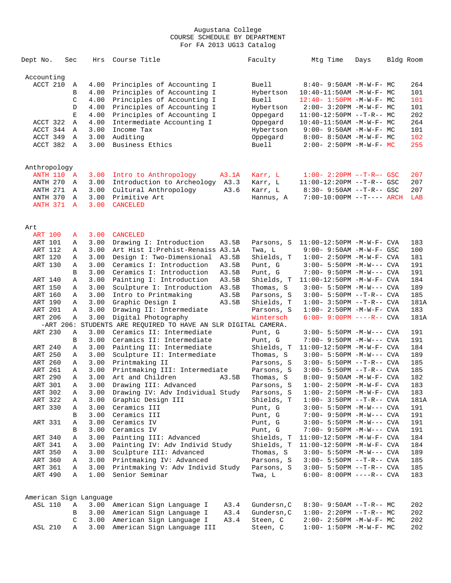| Accounting<br>ACCT 210<br>Principles of Accounting I<br>Buell<br>$8:40 - 9:50AM - M - W - F - MC$<br>264<br>4.00<br>Α<br>Principles of Accounting I<br>101<br>B<br>4.00<br>Hybertson<br>$10:40-11:50AM$ -M-W-F- MC<br>Principles of Accounting I<br><b>Buell</b><br>101<br>C<br>4.00<br>$12:40 - 1:50PM - M - W - F - MC$<br>Principles of Accounting I<br>4.00<br>101<br>D<br>Hybertson<br>$2:00 - 3:20PM -M-W-F - MC$<br>202<br>4.00<br>Principles of Accounting I<br>Е<br>Oppegard<br>$11:00-12:50PM$ --T-R-- MC<br>Intermediate Accounting I<br>264<br>ACCT 322<br>Α<br>4.00<br>Oppegard<br>$10:40-11:50AM$ -M-W-F- MC<br>ACCT 344<br>3.00<br>Income Tax<br>A<br>Hybertson<br>$9:00 - 9:50AM - M - W - F - MC$<br>101<br>102<br>ACCT 349<br>3.00<br>Auditing<br>A<br>Oppegard<br>$8:00 - 8:50AM$ -M-W-F- MC<br>ACCT 382 A<br>3.00<br>Business Ethics<br>Buell<br>255<br>$2:00 - 2:50PM -M-W-F - MC$<br>Anthropology<br>207<br><b>ANTH 110 A</b><br>Intro to Anthropology<br>Karr, L<br>$1:00 - 2:20PM -T-R--$ GSC<br>3.00<br>A3.1A<br>ANTH 270<br>3.00<br>Introduction to Archeology A3.3<br>207<br>Karr, L<br>$11:00-12:20PM$ --T-R-- GSC<br>A<br>ANTH 271<br>3.00<br>Cultural Anthropology<br>A3.6<br>$8:30-9:50AM --T-R--GSC$<br>207<br>Karr, L<br>A<br>ANTH 370<br>3.00<br>Primitive Art<br>LAB<br>A<br>Hannus, A<br>$7:00-10:00PM$ --T---- ARCH<br>ANTH 371<br>3.00<br><b>CANCELED</b><br>$\mathbf{A}$<br>Art<br><b>ART 100</b><br>3.00<br><b>CANCELED</b><br>A<br>3.00<br>ART 101<br>Drawing I: Introduction<br>A3.5B<br>Parsons, S<br>$11:00-12:50PM -M-W-F-CVA$<br>183<br>Α<br>3.00<br>Art Hist I: Prehist-Renaiss A3.1A<br>100<br>ART 112<br>Twa, L<br>$9:00 - 9:50AM - M-W-F - GSC$<br>Α<br>ART 120<br>3.00<br>Design I: Two-Dimensional A3.5B<br>181<br>Shields, T<br>$1:00 - 2:50PM -M-W-F-CVA$<br>Α<br>ART 130<br>3.00<br>Ceramics I: Introduction<br>191<br>A3.5B<br>Punt, G<br>$3:00 - 5:50PM -M-W---$ CVA<br>Α<br>3.00<br>Ceramics I: Introduction<br>A3.5B<br>Punt, G<br>191<br>B<br>7:00- 9:50PM -M-W--- CVA<br>Painting I: Introduction<br>A3.5B<br>Shields, T<br>184<br>ART 140<br>3.00<br>$11:00-12:50PM -M-W-F-CVA$<br>Α<br>3.00<br>Sculpture I: Introduction A3.5B<br>189<br>ART 150<br>Thomas, S<br>$3:00 - 5:50PM -M-W---$ CVA<br>Α<br>3.00<br>Intro to Printmaking<br>185<br>ART 160<br>A3.5B<br>Parsons, S<br>$3:00 - 5:50PM -T-R--CVA$<br>Α<br>ART 190<br>3.00<br>Graphic Design I<br>Shields, T<br>181A<br>A3.5B<br>$1:00 - 3:50PM -T-R--CVA$<br>Α<br>ART 201<br>3.00<br>Drawing II: Intermediate<br>183<br>Α<br>Parsons, S<br>$1:00 - 2:50PM -M-W-F-CVA$<br>ART 206<br>Digital Photography<br>Wintersch<br>Α<br>3.00<br>$6:00 - 9:00PM$ ----R-- CVA<br>181A<br>-ART 206: STUDENTS ARE REQUIRED TO HAVE AN SLR DIGITAL CAMERA.<br>ART 230<br>3.00<br>Ceramics II: Intermediate<br>191<br>Punt, G<br>$3:00 - 5:50PM -M-W---$ CVA<br>Α<br>3.00<br>Ceramics II: Intermediate<br>191<br>B<br>Punt, G<br>$7:00 - 9:50PM -M-W---$ CVA<br>3.00<br>Painting II: Intermediate<br>Shields, T<br>11:00-12:50PM -M-W-F- CVA<br>184<br>ART 240<br>Α<br>ART 250<br>3.00<br>Sculpture II: Intermediate<br>189<br>Thomas, S<br>$3:00 - 5:50PM -M-W---$ CVA<br>Α<br>ART 260<br>3.00<br>Printmaking II<br>185<br>Parsons, S<br>$3:00 - 5:50PM -T-R--CVA$<br>Α<br>ART 261<br>3.00<br>Printmaking III: Intermediate<br>185<br>Parsons, S<br>$3:00 - 5:50PM -T-R--CVA$<br>Α<br>ART 290<br>3.00<br>Art and Children<br>182<br>Α<br>A3.5B<br>Thomas, S<br>8:00- 9:50AM -M-W-F- CVA<br>183<br>ART 301<br>$\mathbf{A}$<br>3.00 Drawing III: Advanced<br>Parsons, S<br>$1:00 - 2:50PM -M-W-F-CVA$<br>ART 302<br>Drawing IV: Adv Individual Study<br>Parsons, S<br>$1:00 - 2:50PM -M-W-F-CVA$<br>183<br>3.00<br>Α<br>Graphic Design III<br>ART 322<br>3.00<br>Shields, T<br>$1:00-3:50PM -T-R--CVA$<br>181A<br>Α<br>3.00<br>Ceramics III<br>Punt, G<br>ART 330<br>191<br>$3:00 - 5:50PM -M-W---$ CVA<br>Α<br>Ceramics III<br>3.00<br>Punt, G<br>7:00- 9:50PM -M-W--- CVA<br>191<br>В<br>Ceramics IV<br>ART 331<br>3.00<br>Punt, G<br>191<br>$3:00 - 5:50PM -M-W---$ CVA<br>Α<br>Ceramics IV<br>3.00<br>Punt, G<br>$7:00 - 9:50PM -M-W---$ CVA<br>191<br>В<br>3.00<br>Painting III: Advanced<br>184<br>ART 340<br>Shields, T<br>11:00-12:50PM -M-W-F- CVA<br>Α<br>Painting IV: Adv Individ Study<br>ART 341<br>3.00<br>Shields, T<br>$11:00-12:50PM -M-W-F-CVA$<br>184<br>Α<br>Sculpture III: Advanced<br>ART 350<br>3.00<br>Thomas, S<br>189<br>$3:00 - 5:50PM -M-W---$ CVA<br>Α<br>Printmaking IV: Advanced<br>ART 360<br>3.00<br>185<br>Parsons, S<br>$3:00 - 5:50PM -T-R--CVA$<br>Α<br>Printmaking V: Adv Individ Study<br>ART 361<br>3.00<br>Parsons, S<br>$3:00 - 5:50PM -T-R--CVA$<br>185<br>Α<br>Senior Seminar<br>ART 490<br>1.00<br>Twa, L<br>$6:00 - 8:00PM$ ----R-- CVA<br>183<br>Α<br>American Sign Language<br><b>ASL 110</b><br>3.00 American Sign Language I<br>Gundersn, C<br>202<br>Α<br>A3.4<br>$8:30 - 9:50AM -T-R-- MC$<br>American Sign Language I<br>Gundersn, C<br>3.00<br>A3.4<br>$1:00-2:20PM -T-R--MC$<br>202<br>В<br>American Sign Language I<br>202<br>3.00<br>A3.4<br>Steen, C<br>$2:00 - 2:50PM -M-W-F - MC$<br>C<br><b>ASL 210</b><br>3.00<br>American Sign Language III<br>Steen, C<br>202<br>Α<br>$1:00 - 1:50PM - M - W - F - MC$ | Dept No. | Sec | Hrs | Course Title | Faculty | Mtg Time | Days | Bldg Room |
|---------------------------------------------------------------------------------------------------------------------------------------------------------------------------------------------------------------------------------------------------------------------------------------------------------------------------------------------------------------------------------------------------------------------------------------------------------------------------------------------------------------------------------------------------------------------------------------------------------------------------------------------------------------------------------------------------------------------------------------------------------------------------------------------------------------------------------------------------------------------------------------------------------------------------------------------------------------------------------------------------------------------------------------------------------------------------------------------------------------------------------------------------------------------------------------------------------------------------------------------------------------------------------------------------------------------------------------------------------------------------------------------------------------------------------------------------------------------------------------------------------------------------------------------------------------------------------------------------------------------------------------------------------------------------------------------------------------------------------------------------------------------------------------------------------------------------------------------------------------------------------------------------------------------------------------------------------------------------------------------------------------------------------------------------------------------------------------------------------------------------------------------------------------------------------------------------------------------------------------------------------------------------------------------------------------------------------------------------------------------------------------------------------------------------------------------------------------------------------------------------------------------------------------------------------------------------------------------------------------------------------------------------------------------------------------------------------------------------------------------------------------------------------------------------------------------------------------------------------------------------------------------------------------------------------------------------------------------------------------------------------------------------------------------------------------------------------------------------------------------------------------------------------------------------------------------------------------------------------------------------------------------------------------------------------------------------------------------------------------------------------------------------------------------------------------------------------------------------------------------------------------------------------------------------------------------------------------------------------------------------------------------------------------------------------------------------------------------------------------------------------------------------------------------------------------------------------------------------------------------------------------------------------------------------------------------------------------------------------------------------------------------------------------------------------------------------------------------------------------------------------------------------------------------------------------------------------------------------------------------------------------------------------------------------------------------------------------------------------------------------------------------------------------------------------------------------------------------------------------------------------------------------------------------------------------------------------------------------------------------------------------------------------------------------------------------------------------------------------------------------------------------------------------------------------------------------------------------------------------------------------------------------------------------------------------------------------------------------------------------------------------------------------------------------------------------------------------------------------------------------------------------------------------------------------------------------------------------------------------------------------------------------|----------|-----|-----|--------------|---------|----------|------|-----------|
|                                                                                                                                                                                                                                                                                                                                                                                                                                                                                                                                                                                                                                                                                                                                                                                                                                                                                                                                                                                                                                                                                                                                                                                                                                                                                                                                                                                                                                                                                                                                                                                                                                                                                                                                                                                                                                                                                                                                                                                                                                                                                                                                                                                                                                                                                                                                                                                                                                                                                                                                                                                                                                                                                                                                                                                                                                                                                                                                                                                                                                                                                                                                                                                                                                                                                                                                                                                                                                                                                                                                                                                                                                                                                                                                                                                                                                                                                                                                                                                                                                                                                                                                                                                                                                                                                                                                                                                                                                                                                                                                                                                                                                                                                                                                                                                                                                                                                                                                                                                                                                                                                                                                                                                                                                                                           |          |     |     |              |         |          |      |           |
|                                                                                                                                                                                                                                                                                                                                                                                                                                                                                                                                                                                                                                                                                                                                                                                                                                                                                                                                                                                                                                                                                                                                                                                                                                                                                                                                                                                                                                                                                                                                                                                                                                                                                                                                                                                                                                                                                                                                                                                                                                                                                                                                                                                                                                                                                                                                                                                                                                                                                                                                                                                                                                                                                                                                                                                                                                                                                                                                                                                                                                                                                                                                                                                                                                                                                                                                                                                                                                                                                                                                                                                                                                                                                                                                                                                                                                                                                                                                                                                                                                                                                                                                                                                                                                                                                                                                                                                                                                                                                                                                                                                                                                                                                                                                                                                                                                                                                                                                                                                                                                                                                                                                                                                                                                                                           |          |     |     |              |         |          |      |           |
|                                                                                                                                                                                                                                                                                                                                                                                                                                                                                                                                                                                                                                                                                                                                                                                                                                                                                                                                                                                                                                                                                                                                                                                                                                                                                                                                                                                                                                                                                                                                                                                                                                                                                                                                                                                                                                                                                                                                                                                                                                                                                                                                                                                                                                                                                                                                                                                                                                                                                                                                                                                                                                                                                                                                                                                                                                                                                                                                                                                                                                                                                                                                                                                                                                                                                                                                                                                                                                                                                                                                                                                                                                                                                                                                                                                                                                                                                                                                                                                                                                                                                                                                                                                                                                                                                                                                                                                                                                                                                                                                                                                                                                                                                                                                                                                                                                                                                                                                                                                                                                                                                                                                                                                                                                                                           |          |     |     |              |         |          |      |           |
|                                                                                                                                                                                                                                                                                                                                                                                                                                                                                                                                                                                                                                                                                                                                                                                                                                                                                                                                                                                                                                                                                                                                                                                                                                                                                                                                                                                                                                                                                                                                                                                                                                                                                                                                                                                                                                                                                                                                                                                                                                                                                                                                                                                                                                                                                                                                                                                                                                                                                                                                                                                                                                                                                                                                                                                                                                                                                                                                                                                                                                                                                                                                                                                                                                                                                                                                                                                                                                                                                                                                                                                                                                                                                                                                                                                                                                                                                                                                                                                                                                                                                                                                                                                                                                                                                                                                                                                                                                                                                                                                                                                                                                                                                                                                                                                                                                                                                                                                                                                                                                                                                                                                                                                                                                                                           |          |     |     |              |         |          |      |           |
|                                                                                                                                                                                                                                                                                                                                                                                                                                                                                                                                                                                                                                                                                                                                                                                                                                                                                                                                                                                                                                                                                                                                                                                                                                                                                                                                                                                                                                                                                                                                                                                                                                                                                                                                                                                                                                                                                                                                                                                                                                                                                                                                                                                                                                                                                                                                                                                                                                                                                                                                                                                                                                                                                                                                                                                                                                                                                                                                                                                                                                                                                                                                                                                                                                                                                                                                                                                                                                                                                                                                                                                                                                                                                                                                                                                                                                                                                                                                                                                                                                                                                                                                                                                                                                                                                                                                                                                                                                                                                                                                                                                                                                                                                                                                                                                                                                                                                                                                                                                                                                                                                                                                                                                                                                                                           |          |     |     |              |         |          |      |           |
|                                                                                                                                                                                                                                                                                                                                                                                                                                                                                                                                                                                                                                                                                                                                                                                                                                                                                                                                                                                                                                                                                                                                                                                                                                                                                                                                                                                                                                                                                                                                                                                                                                                                                                                                                                                                                                                                                                                                                                                                                                                                                                                                                                                                                                                                                                                                                                                                                                                                                                                                                                                                                                                                                                                                                                                                                                                                                                                                                                                                                                                                                                                                                                                                                                                                                                                                                                                                                                                                                                                                                                                                                                                                                                                                                                                                                                                                                                                                                                                                                                                                                                                                                                                                                                                                                                                                                                                                                                                                                                                                                                                                                                                                                                                                                                                                                                                                                                                                                                                                                                                                                                                                                                                                                                                                           |          |     |     |              |         |          |      |           |
|                                                                                                                                                                                                                                                                                                                                                                                                                                                                                                                                                                                                                                                                                                                                                                                                                                                                                                                                                                                                                                                                                                                                                                                                                                                                                                                                                                                                                                                                                                                                                                                                                                                                                                                                                                                                                                                                                                                                                                                                                                                                                                                                                                                                                                                                                                                                                                                                                                                                                                                                                                                                                                                                                                                                                                                                                                                                                                                                                                                                                                                                                                                                                                                                                                                                                                                                                                                                                                                                                                                                                                                                                                                                                                                                                                                                                                                                                                                                                                                                                                                                                                                                                                                                                                                                                                                                                                                                                                                                                                                                                                                                                                                                                                                                                                                                                                                                                                                                                                                                                                                                                                                                                                                                                                                                           |          |     |     |              |         |          |      |           |
|                                                                                                                                                                                                                                                                                                                                                                                                                                                                                                                                                                                                                                                                                                                                                                                                                                                                                                                                                                                                                                                                                                                                                                                                                                                                                                                                                                                                                                                                                                                                                                                                                                                                                                                                                                                                                                                                                                                                                                                                                                                                                                                                                                                                                                                                                                                                                                                                                                                                                                                                                                                                                                                                                                                                                                                                                                                                                                                                                                                                                                                                                                                                                                                                                                                                                                                                                                                                                                                                                                                                                                                                                                                                                                                                                                                                                                                                                                                                                                                                                                                                                                                                                                                                                                                                                                                                                                                                                                                                                                                                                                                                                                                                                                                                                                                                                                                                                                                                                                                                                                                                                                                                                                                                                                                                           |          |     |     |              |         |          |      |           |
|                                                                                                                                                                                                                                                                                                                                                                                                                                                                                                                                                                                                                                                                                                                                                                                                                                                                                                                                                                                                                                                                                                                                                                                                                                                                                                                                                                                                                                                                                                                                                                                                                                                                                                                                                                                                                                                                                                                                                                                                                                                                                                                                                                                                                                                                                                                                                                                                                                                                                                                                                                                                                                                                                                                                                                                                                                                                                                                                                                                                                                                                                                                                                                                                                                                                                                                                                                                                                                                                                                                                                                                                                                                                                                                                                                                                                                                                                                                                                                                                                                                                                                                                                                                                                                                                                                                                                                                                                                                                                                                                                                                                                                                                                                                                                                                                                                                                                                                                                                                                                                                                                                                                                                                                                                                                           |          |     |     |              |         |          |      |           |
|                                                                                                                                                                                                                                                                                                                                                                                                                                                                                                                                                                                                                                                                                                                                                                                                                                                                                                                                                                                                                                                                                                                                                                                                                                                                                                                                                                                                                                                                                                                                                                                                                                                                                                                                                                                                                                                                                                                                                                                                                                                                                                                                                                                                                                                                                                                                                                                                                                                                                                                                                                                                                                                                                                                                                                                                                                                                                                                                                                                                                                                                                                                                                                                                                                                                                                                                                                                                                                                                                                                                                                                                                                                                                                                                                                                                                                                                                                                                                                                                                                                                                                                                                                                                                                                                                                                                                                                                                                                                                                                                                                                                                                                                                                                                                                                                                                                                                                                                                                                                                                                                                                                                                                                                                                                                           |          |     |     |              |         |          |      |           |
|                                                                                                                                                                                                                                                                                                                                                                                                                                                                                                                                                                                                                                                                                                                                                                                                                                                                                                                                                                                                                                                                                                                                                                                                                                                                                                                                                                                                                                                                                                                                                                                                                                                                                                                                                                                                                                                                                                                                                                                                                                                                                                                                                                                                                                                                                                                                                                                                                                                                                                                                                                                                                                                                                                                                                                                                                                                                                                                                                                                                                                                                                                                                                                                                                                                                                                                                                                                                                                                                                                                                                                                                                                                                                                                                                                                                                                                                                                                                                                                                                                                                                                                                                                                                                                                                                                                                                                                                                                                                                                                                                                                                                                                                                                                                                                                                                                                                                                                                                                                                                                                                                                                                                                                                                                                                           |          |     |     |              |         |          |      |           |
|                                                                                                                                                                                                                                                                                                                                                                                                                                                                                                                                                                                                                                                                                                                                                                                                                                                                                                                                                                                                                                                                                                                                                                                                                                                                                                                                                                                                                                                                                                                                                                                                                                                                                                                                                                                                                                                                                                                                                                                                                                                                                                                                                                                                                                                                                                                                                                                                                                                                                                                                                                                                                                                                                                                                                                                                                                                                                                                                                                                                                                                                                                                                                                                                                                                                                                                                                                                                                                                                                                                                                                                                                                                                                                                                                                                                                                                                                                                                                                                                                                                                                                                                                                                                                                                                                                                                                                                                                                                                                                                                                                                                                                                                                                                                                                                                                                                                                                                                                                                                                                                                                                                                                                                                                                                                           |          |     |     |              |         |          |      |           |
|                                                                                                                                                                                                                                                                                                                                                                                                                                                                                                                                                                                                                                                                                                                                                                                                                                                                                                                                                                                                                                                                                                                                                                                                                                                                                                                                                                                                                                                                                                                                                                                                                                                                                                                                                                                                                                                                                                                                                                                                                                                                                                                                                                                                                                                                                                                                                                                                                                                                                                                                                                                                                                                                                                                                                                                                                                                                                                                                                                                                                                                                                                                                                                                                                                                                                                                                                                                                                                                                                                                                                                                                                                                                                                                                                                                                                                                                                                                                                                                                                                                                                                                                                                                                                                                                                                                                                                                                                                                                                                                                                                                                                                                                                                                                                                                                                                                                                                                                                                                                                                                                                                                                                                                                                                                                           |          |     |     |              |         |          |      |           |
|                                                                                                                                                                                                                                                                                                                                                                                                                                                                                                                                                                                                                                                                                                                                                                                                                                                                                                                                                                                                                                                                                                                                                                                                                                                                                                                                                                                                                                                                                                                                                                                                                                                                                                                                                                                                                                                                                                                                                                                                                                                                                                                                                                                                                                                                                                                                                                                                                                                                                                                                                                                                                                                                                                                                                                                                                                                                                                                                                                                                                                                                                                                                                                                                                                                                                                                                                                                                                                                                                                                                                                                                                                                                                                                                                                                                                                                                                                                                                                                                                                                                                                                                                                                                                                                                                                                                                                                                                                                                                                                                                                                                                                                                                                                                                                                                                                                                                                                                                                                                                                                                                                                                                                                                                                                                           |          |     |     |              |         |          |      |           |
|                                                                                                                                                                                                                                                                                                                                                                                                                                                                                                                                                                                                                                                                                                                                                                                                                                                                                                                                                                                                                                                                                                                                                                                                                                                                                                                                                                                                                                                                                                                                                                                                                                                                                                                                                                                                                                                                                                                                                                                                                                                                                                                                                                                                                                                                                                                                                                                                                                                                                                                                                                                                                                                                                                                                                                                                                                                                                                                                                                                                                                                                                                                                                                                                                                                                                                                                                                                                                                                                                                                                                                                                                                                                                                                                                                                                                                                                                                                                                                                                                                                                                                                                                                                                                                                                                                                                                                                                                                                                                                                                                                                                                                                                                                                                                                                                                                                                                                                                                                                                                                                                                                                                                                                                                                                                           |          |     |     |              |         |          |      |           |
|                                                                                                                                                                                                                                                                                                                                                                                                                                                                                                                                                                                                                                                                                                                                                                                                                                                                                                                                                                                                                                                                                                                                                                                                                                                                                                                                                                                                                                                                                                                                                                                                                                                                                                                                                                                                                                                                                                                                                                                                                                                                                                                                                                                                                                                                                                                                                                                                                                                                                                                                                                                                                                                                                                                                                                                                                                                                                                                                                                                                                                                                                                                                                                                                                                                                                                                                                                                                                                                                                                                                                                                                                                                                                                                                                                                                                                                                                                                                                                                                                                                                                                                                                                                                                                                                                                                                                                                                                                                                                                                                                                                                                                                                                                                                                                                                                                                                                                                                                                                                                                                                                                                                                                                                                                                                           |          |     |     |              |         |          |      |           |
|                                                                                                                                                                                                                                                                                                                                                                                                                                                                                                                                                                                                                                                                                                                                                                                                                                                                                                                                                                                                                                                                                                                                                                                                                                                                                                                                                                                                                                                                                                                                                                                                                                                                                                                                                                                                                                                                                                                                                                                                                                                                                                                                                                                                                                                                                                                                                                                                                                                                                                                                                                                                                                                                                                                                                                                                                                                                                                                                                                                                                                                                                                                                                                                                                                                                                                                                                                                                                                                                                                                                                                                                                                                                                                                                                                                                                                                                                                                                                                                                                                                                                                                                                                                                                                                                                                                                                                                                                                                                                                                                                                                                                                                                                                                                                                                                                                                                                                                                                                                                                                                                                                                                                                                                                                                                           |          |     |     |              |         |          |      |           |
|                                                                                                                                                                                                                                                                                                                                                                                                                                                                                                                                                                                                                                                                                                                                                                                                                                                                                                                                                                                                                                                                                                                                                                                                                                                                                                                                                                                                                                                                                                                                                                                                                                                                                                                                                                                                                                                                                                                                                                                                                                                                                                                                                                                                                                                                                                                                                                                                                                                                                                                                                                                                                                                                                                                                                                                                                                                                                                                                                                                                                                                                                                                                                                                                                                                                                                                                                                                                                                                                                                                                                                                                                                                                                                                                                                                                                                                                                                                                                                                                                                                                                                                                                                                                                                                                                                                                                                                                                                                                                                                                                                                                                                                                                                                                                                                                                                                                                                                                                                                                                                                                                                                                                                                                                                                                           |          |     |     |              |         |          |      |           |
|                                                                                                                                                                                                                                                                                                                                                                                                                                                                                                                                                                                                                                                                                                                                                                                                                                                                                                                                                                                                                                                                                                                                                                                                                                                                                                                                                                                                                                                                                                                                                                                                                                                                                                                                                                                                                                                                                                                                                                                                                                                                                                                                                                                                                                                                                                                                                                                                                                                                                                                                                                                                                                                                                                                                                                                                                                                                                                                                                                                                                                                                                                                                                                                                                                                                                                                                                                                                                                                                                                                                                                                                                                                                                                                                                                                                                                                                                                                                                                                                                                                                                                                                                                                                                                                                                                                                                                                                                                                                                                                                                                                                                                                                                                                                                                                                                                                                                                                                                                                                                                                                                                                                                                                                                                                                           |          |     |     |              |         |          |      |           |
|                                                                                                                                                                                                                                                                                                                                                                                                                                                                                                                                                                                                                                                                                                                                                                                                                                                                                                                                                                                                                                                                                                                                                                                                                                                                                                                                                                                                                                                                                                                                                                                                                                                                                                                                                                                                                                                                                                                                                                                                                                                                                                                                                                                                                                                                                                                                                                                                                                                                                                                                                                                                                                                                                                                                                                                                                                                                                                                                                                                                                                                                                                                                                                                                                                                                                                                                                                                                                                                                                                                                                                                                                                                                                                                                                                                                                                                                                                                                                                                                                                                                                                                                                                                                                                                                                                                                                                                                                                                                                                                                                                                                                                                                                                                                                                                                                                                                                                                                                                                                                                                                                                                                                                                                                                                                           |          |     |     |              |         |          |      |           |
|                                                                                                                                                                                                                                                                                                                                                                                                                                                                                                                                                                                                                                                                                                                                                                                                                                                                                                                                                                                                                                                                                                                                                                                                                                                                                                                                                                                                                                                                                                                                                                                                                                                                                                                                                                                                                                                                                                                                                                                                                                                                                                                                                                                                                                                                                                                                                                                                                                                                                                                                                                                                                                                                                                                                                                                                                                                                                                                                                                                                                                                                                                                                                                                                                                                                                                                                                                                                                                                                                                                                                                                                                                                                                                                                                                                                                                                                                                                                                                                                                                                                                                                                                                                                                                                                                                                                                                                                                                                                                                                                                                                                                                                                                                                                                                                                                                                                                                                                                                                                                                                                                                                                                                                                                                                                           |          |     |     |              |         |          |      |           |
|                                                                                                                                                                                                                                                                                                                                                                                                                                                                                                                                                                                                                                                                                                                                                                                                                                                                                                                                                                                                                                                                                                                                                                                                                                                                                                                                                                                                                                                                                                                                                                                                                                                                                                                                                                                                                                                                                                                                                                                                                                                                                                                                                                                                                                                                                                                                                                                                                                                                                                                                                                                                                                                                                                                                                                                                                                                                                                                                                                                                                                                                                                                                                                                                                                                                                                                                                                                                                                                                                                                                                                                                                                                                                                                                                                                                                                                                                                                                                                                                                                                                                                                                                                                                                                                                                                                                                                                                                                                                                                                                                                                                                                                                                                                                                                                                                                                                                                                                                                                                                                                                                                                                                                                                                                                                           |          |     |     |              |         |          |      |           |
|                                                                                                                                                                                                                                                                                                                                                                                                                                                                                                                                                                                                                                                                                                                                                                                                                                                                                                                                                                                                                                                                                                                                                                                                                                                                                                                                                                                                                                                                                                                                                                                                                                                                                                                                                                                                                                                                                                                                                                                                                                                                                                                                                                                                                                                                                                                                                                                                                                                                                                                                                                                                                                                                                                                                                                                                                                                                                                                                                                                                                                                                                                                                                                                                                                                                                                                                                                                                                                                                                                                                                                                                                                                                                                                                                                                                                                                                                                                                                                                                                                                                                                                                                                                                                                                                                                                                                                                                                                                                                                                                                                                                                                                                                                                                                                                                                                                                                                                                                                                                                                                                                                                                                                                                                                                                           |          |     |     |              |         |          |      |           |
|                                                                                                                                                                                                                                                                                                                                                                                                                                                                                                                                                                                                                                                                                                                                                                                                                                                                                                                                                                                                                                                                                                                                                                                                                                                                                                                                                                                                                                                                                                                                                                                                                                                                                                                                                                                                                                                                                                                                                                                                                                                                                                                                                                                                                                                                                                                                                                                                                                                                                                                                                                                                                                                                                                                                                                                                                                                                                                                                                                                                                                                                                                                                                                                                                                                                                                                                                                                                                                                                                                                                                                                                                                                                                                                                                                                                                                                                                                                                                                                                                                                                                                                                                                                                                                                                                                                                                                                                                                                                                                                                                                                                                                                                                                                                                                                                                                                                                                                                                                                                                                                                                                                                                                                                                                                                           |          |     |     |              |         |          |      |           |
|                                                                                                                                                                                                                                                                                                                                                                                                                                                                                                                                                                                                                                                                                                                                                                                                                                                                                                                                                                                                                                                                                                                                                                                                                                                                                                                                                                                                                                                                                                                                                                                                                                                                                                                                                                                                                                                                                                                                                                                                                                                                                                                                                                                                                                                                                                                                                                                                                                                                                                                                                                                                                                                                                                                                                                                                                                                                                                                                                                                                                                                                                                                                                                                                                                                                                                                                                                                                                                                                                                                                                                                                                                                                                                                                                                                                                                                                                                                                                                                                                                                                                                                                                                                                                                                                                                                                                                                                                                                                                                                                                                                                                                                                                                                                                                                                                                                                                                                                                                                                                                                                                                                                                                                                                                                                           |          |     |     |              |         |          |      |           |
|                                                                                                                                                                                                                                                                                                                                                                                                                                                                                                                                                                                                                                                                                                                                                                                                                                                                                                                                                                                                                                                                                                                                                                                                                                                                                                                                                                                                                                                                                                                                                                                                                                                                                                                                                                                                                                                                                                                                                                                                                                                                                                                                                                                                                                                                                                                                                                                                                                                                                                                                                                                                                                                                                                                                                                                                                                                                                                                                                                                                                                                                                                                                                                                                                                                                                                                                                                                                                                                                                                                                                                                                                                                                                                                                                                                                                                                                                                                                                                                                                                                                                                                                                                                                                                                                                                                                                                                                                                                                                                                                                                                                                                                                                                                                                                                                                                                                                                                                                                                                                                                                                                                                                                                                                                                                           |          |     |     |              |         |          |      |           |
|                                                                                                                                                                                                                                                                                                                                                                                                                                                                                                                                                                                                                                                                                                                                                                                                                                                                                                                                                                                                                                                                                                                                                                                                                                                                                                                                                                                                                                                                                                                                                                                                                                                                                                                                                                                                                                                                                                                                                                                                                                                                                                                                                                                                                                                                                                                                                                                                                                                                                                                                                                                                                                                                                                                                                                                                                                                                                                                                                                                                                                                                                                                                                                                                                                                                                                                                                                                                                                                                                                                                                                                                                                                                                                                                                                                                                                                                                                                                                                                                                                                                                                                                                                                                                                                                                                                                                                                                                                                                                                                                                                                                                                                                                                                                                                                                                                                                                                                                                                                                                                                                                                                                                                                                                                                                           |          |     |     |              |         |          |      |           |
|                                                                                                                                                                                                                                                                                                                                                                                                                                                                                                                                                                                                                                                                                                                                                                                                                                                                                                                                                                                                                                                                                                                                                                                                                                                                                                                                                                                                                                                                                                                                                                                                                                                                                                                                                                                                                                                                                                                                                                                                                                                                                                                                                                                                                                                                                                                                                                                                                                                                                                                                                                                                                                                                                                                                                                                                                                                                                                                                                                                                                                                                                                                                                                                                                                                                                                                                                                                                                                                                                                                                                                                                                                                                                                                                                                                                                                                                                                                                                                                                                                                                                                                                                                                                                                                                                                                                                                                                                                                                                                                                                                                                                                                                                                                                                                                                                                                                                                                                                                                                                                                                                                                                                                                                                                                                           |          |     |     |              |         |          |      |           |
|                                                                                                                                                                                                                                                                                                                                                                                                                                                                                                                                                                                                                                                                                                                                                                                                                                                                                                                                                                                                                                                                                                                                                                                                                                                                                                                                                                                                                                                                                                                                                                                                                                                                                                                                                                                                                                                                                                                                                                                                                                                                                                                                                                                                                                                                                                                                                                                                                                                                                                                                                                                                                                                                                                                                                                                                                                                                                                                                                                                                                                                                                                                                                                                                                                                                                                                                                                                                                                                                                                                                                                                                                                                                                                                                                                                                                                                                                                                                                                                                                                                                                                                                                                                                                                                                                                                                                                                                                                                                                                                                                                                                                                                                                                                                                                                                                                                                                                                                                                                                                                                                                                                                                                                                                                                                           |          |     |     |              |         |          |      |           |
|                                                                                                                                                                                                                                                                                                                                                                                                                                                                                                                                                                                                                                                                                                                                                                                                                                                                                                                                                                                                                                                                                                                                                                                                                                                                                                                                                                                                                                                                                                                                                                                                                                                                                                                                                                                                                                                                                                                                                                                                                                                                                                                                                                                                                                                                                                                                                                                                                                                                                                                                                                                                                                                                                                                                                                                                                                                                                                                                                                                                                                                                                                                                                                                                                                                                                                                                                                                                                                                                                                                                                                                                                                                                                                                                                                                                                                                                                                                                                                                                                                                                                                                                                                                                                                                                                                                                                                                                                                                                                                                                                                                                                                                                                                                                                                                                                                                                                                                                                                                                                                                                                                                                                                                                                                                                           |          |     |     |              |         |          |      |           |
|                                                                                                                                                                                                                                                                                                                                                                                                                                                                                                                                                                                                                                                                                                                                                                                                                                                                                                                                                                                                                                                                                                                                                                                                                                                                                                                                                                                                                                                                                                                                                                                                                                                                                                                                                                                                                                                                                                                                                                                                                                                                                                                                                                                                                                                                                                                                                                                                                                                                                                                                                                                                                                                                                                                                                                                                                                                                                                                                                                                                                                                                                                                                                                                                                                                                                                                                                                                                                                                                                                                                                                                                                                                                                                                                                                                                                                                                                                                                                                                                                                                                                                                                                                                                                                                                                                                                                                                                                                                                                                                                                                                                                                                                                                                                                                                                                                                                                                                                                                                                                                                                                                                                                                                                                                                                           |          |     |     |              |         |          |      |           |
|                                                                                                                                                                                                                                                                                                                                                                                                                                                                                                                                                                                                                                                                                                                                                                                                                                                                                                                                                                                                                                                                                                                                                                                                                                                                                                                                                                                                                                                                                                                                                                                                                                                                                                                                                                                                                                                                                                                                                                                                                                                                                                                                                                                                                                                                                                                                                                                                                                                                                                                                                                                                                                                                                                                                                                                                                                                                                                                                                                                                                                                                                                                                                                                                                                                                                                                                                                                                                                                                                                                                                                                                                                                                                                                                                                                                                                                                                                                                                                                                                                                                                                                                                                                                                                                                                                                                                                                                                                                                                                                                                                                                                                                                                                                                                                                                                                                                                                                                                                                                                                                                                                                                                                                                                                                                           |          |     |     |              |         |          |      |           |
|                                                                                                                                                                                                                                                                                                                                                                                                                                                                                                                                                                                                                                                                                                                                                                                                                                                                                                                                                                                                                                                                                                                                                                                                                                                                                                                                                                                                                                                                                                                                                                                                                                                                                                                                                                                                                                                                                                                                                                                                                                                                                                                                                                                                                                                                                                                                                                                                                                                                                                                                                                                                                                                                                                                                                                                                                                                                                                                                                                                                                                                                                                                                                                                                                                                                                                                                                                                                                                                                                                                                                                                                                                                                                                                                                                                                                                                                                                                                                                                                                                                                                                                                                                                                                                                                                                                                                                                                                                                                                                                                                                                                                                                                                                                                                                                                                                                                                                                                                                                                                                                                                                                                                                                                                                                                           |          |     |     |              |         |          |      |           |
|                                                                                                                                                                                                                                                                                                                                                                                                                                                                                                                                                                                                                                                                                                                                                                                                                                                                                                                                                                                                                                                                                                                                                                                                                                                                                                                                                                                                                                                                                                                                                                                                                                                                                                                                                                                                                                                                                                                                                                                                                                                                                                                                                                                                                                                                                                                                                                                                                                                                                                                                                                                                                                                                                                                                                                                                                                                                                                                                                                                                                                                                                                                                                                                                                                                                                                                                                                                                                                                                                                                                                                                                                                                                                                                                                                                                                                                                                                                                                                                                                                                                                                                                                                                                                                                                                                                                                                                                                                                                                                                                                                                                                                                                                                                                                                                                                                                                                                                                                                                                                                                                                                                                                                                                                                                                           |          |     |     |              |         |          |      |           |
|                                                                                                                                                                                                                                                                                                                                                                                                                                                                                                                                                                                                                                                                                                                                                                                                                                                                                                                                                                                                                                                                                                                                                                                                                                                                                                                                                                                                                                                                                                                                                                                                                                                                                                                                                                                                                                                                                                                                                                                                                                                                                                                                                                                                                                                                                                                                                                                                                                                                                                                                                                                                                                                                                                                                                                                                                                                                                                                                                                                                                                                                                                                                                                                                                                                                                                                                                                                                                                                                                                                                                                                                                                                                                                                                                                                                                                                                                                                                                                                                                                                                                                                                                                                                                                                                                                                                                                                                                                                                                                                                                                                                                                                                                                                                                                                                                                                                                                                                                                                                                                                                                                                                                                                                                                                                           |          |     |     |              |         |          |      |           |
|                                                                                                                                                                                                                                                                                                                                                                                                                                                                                                                                                                                                                                                                                                                                                                                                                                                                                                                                                                                                                                                                                                                                                                                                                                                                                                                                                                                                                                                                                                                                                                                                                                                                                                                                                                                                                                                                                                                                                                                                                                                                                                                                                                                                                                                                                                                                                                                                                                                                                                                                                                                                                                                                                                                                                                                                                                                                                                                                                                                                                                                                                                                                                                                                                                                                                                                                                                                                                                                                                                                                                                                                                                                                                                                                                                                                                                                                                                                                                                                                                                                                                                                                                                                                                                                                                                                                                                                                                                                                                                                                                                                                                                                                                                                                                                                                                                                                                                                                                                                                                                                                                                                                                                                                                                                                           |          |     |     |              |         |          |      |           |
|                                                                                                                                                                                                                                                                                                                                                                                                                                                                                                                                                                                                                                                                                                                                                                                                                                                                                                                                                                                                                                                                                                                                                                                                                                                                                                                                                                                                                                                                                                                                                                                                                                                                                                                                                                                                                                                                                                                                                                                                                                                                                                                                                                                                                                                                                                                                                                                                                                                                                                                                                                                                                                                                                                                                                                                                                                                                                                                                                                                                                                                                                                                                                                                                                                                                                                                                                                                                                                                                                                                                                                                                                                                                                                                                                                                                                                                                                                                                                                                                                                                                                                                                                                                                                                                                                                                                                                                                                                                                                                                                                                                                                                                                                                                                                                                                                                                                                                                                                                                                                                                                                                                                                                                                                                                                           |          |     |     |              |         |          |      |           |
|                                                                                                                                                                                                                                                                                                                                                                                                                                                                                                                                                                                                                                                                                                                                                                                                                                                                                                                                                                                                                                                                                                                                                                                                                                                                                                                                                                                                                                                                                                                                                                                                                                                                                                                                                                                                                                                                                                                                                                                                                                                                                                                                                                                                                                                                                                                                                                                                                                                                                                                                                                                                                                                                                                                                                                                                                                                                                                                                                                                                                                                                                                                                                                                                                                                                                                                                                                                                                                                                                                                                                                                                                                                                                                                                                                                                                                                                                                                                                                                                                                                                                                                                                                                                                                                                                                                                                                                                                                                                                                                                                                                                                                                                                                                                                                                                                                                                                                                                                                                                                                                                                                                                                                                                                                                                           |          |     |     |              |         |          |      |           |
|                                                                                                                                                                                                                                                                                                                                                                                                                                                                                                                                                                                                                                                                                                                                                                                                                                                                                                                                                                                                                                                                                                                                                                                                                                                                                                                                                                                                                                                                                                                                                                                                                                                                                                                                                                                                                                                                                                                                                                                                                                                                                                                                                                                                                                                                                                                                                                                                                                                                                                                                                                                                                                                                                                                                                                                                                                                                                                                                                                                                                                                                                                                                                                                                                                                                                                                                                                                                                                                                                                                                                                                                                                                                                                                                                                                                                                                                                                                                                                                                                                                                                                                                                                                                                                                                                                                                                                                                                                                                                                                                                                                                                                                                                                                                                                                                                                                                                                                                                                                                                                                                                                                                                                                                                                                                           |          |     |     |              |         |          |      |           |
|                                                                                                                                                                                                                                                                                                                                                                                                                                                                                                                                                                                                                                                                                                                                                                                                                                                                                                                                                                                                                                                                                                                                                                                                                                                                                                                                                                                                                                                                                                                                                                                                                                                                                                                                                                                                                                                                                                                                                                                                                                                                                                                                                                                                                                                                                                                                                                                                                                                                                                                                                                                                                                                                                                                                                                                                                                                                                                                                                                                                                                                                                                                                                                                                                                                                                                                                                                                                                                                                                                                                                                                                                                                                                                                                                                                                                                                                                                                                                                                                                                                                                                                                                                                                                                                                                                                                                                                                                                                                                                                                                                                                                                                                                                                                                                                                                                                                                                                                                                                                                                                                                                                                                                                                                                                                           |          |     |     |              |         |          |      |           |
|                                                                                                                                                                                                                                                                                                                                                                                                                                                                                                                                                                                                                                                                                                                                                                                                                                                                                                                                                                                                                                                                                                                                                                                                                                                                                                                                                                                                                                                                                                                                                                                                                                                                                                                                                                                                                                                                                                                                                                                                                                                                                                                                                                                                                                                                                                                                                                                                                                                                                                                                                                                                                                                                                                                                                                                                                                                                                                                                                                                                                                                                                                                                                                                                                                                                                                                                                                                                                                                                                                                                                                                                                                                                                                                                                                                                                                                                                                                                                                                                                                                                                                                                                                                                                                                                                                                                                                                                                                                                                                                                                                                                                                                                                                                                                                                                                                                                                                                                                                                                                                                                                                                                                                                                                                                                           |          |     |     |              |         |          |      |           |
|                                                                                                                                                                                                                                                                                                                                                                                                                                                                                                                                                                                                                                                                                                                                                                                                                                                                                                                                                                                                                                                                                                                                                                                                                                                                                                                                                                                                                                                                                                                                                                                                                                                                                                                                                                                                                                                                                                                                                                                                                                                                                                                                                                                                                                                                                                                                                                                                                                                                                                                                                                                                                                                                                                                                                                                                                                                                                                                                                                                                                                                                                                                                                                                                                                                                                                                                                                                                                                                                                                                                                                                                                                                                                                                                                                                                                                                                                                                                                                                                                                                                                                                                                                                                                                                                                                                                                                                                                                                                                                                                                                                                                                                                                                                                                                                                                                                                                                                                                                                                                                                                                                                                                                                                                                                                           |          |     |     |              |         |          |      |           |
|                                                                                                                                                                                                                                                                                                                                                                                                                                                                                                                                                                                                                                                                                                                                                                                                                                                                                                                                                                                                                                                                                                                                                                                                                                                                                                                                                                                                                                                                                                                                                                                                                                                                                                                                                                                                                                                                                                                                                                                                                                                                                                                                                                                                                                                                                                                                                                                                                                                                                                                                                                                                                                                                                                                                                                                                                                                                                                                                                                                                                                                                                                                                                                                                                                                                                                                                                                                                                                                                                                                                                                                                                                                                                                                                                                                                                                                                                                                                                                                                                                                                                                                                                                                                                                                                                                                                                                                                                                                                                                                                                                                                                                                                                                                                                                                                                                                                                                                                                                                                                                                                                                                                                                                                                                                                           |          |     |     |              |         |          |      |           |
|                                                                                                                                                                                                                                                                                                                                                                                                                                                                                                                                                                                                                                                                                                                                                                                                                                                                                                                                                                                                                                                                                                                                                                                                                                                                                                                                                                                                                                                                                                                                                                                                                                                                                                                                                                                                                                                                                                                                                                                                                                                                                                                                                                                                                                                                                                                                                                                                                                                                                                                                                                                                                                                                                                                                                                                                                                                                                                                                                                                                                                                                                                                                                                                                                                                                                                                                                                                                                                                                                                                                                                                                                                                                                                                                                                                                                                                                                                                                                                                                                                                                                                                                                                                                                                                                                                                                                                                                                                                                                                                                                                                                                                                                                                                                                                                                                                                                                                                                                                                                                                                                                                                                                                                                                                                                           |          |     |     |              |         |          |      |           |
|                                                                                                                                                                                                                                                                                                                                                                                                                                                                                                                                                                                                                                                                                                                                                                                                                                                                                                                                                                                                                                                                                                                                                                                                                                                                                                                                                                                                                                                                                                                                                                                                                                                                                                                                                                                                                                                                                                                                                                                                                                                                                                                                                                                                                                                                                                                                                                                                                                                                                                                                                                                                                                                                                                                                                                                                                                                                                                                                                                                                                                                                                                                                                                                                                                                                                                                                                                                                                                                                                                                                                                                                                                                                                                                                                                                                                                                                                                                                                                                                                                                                                                                                                                                                                                                                                                                                                                                                                                                                                                                                                                                                                                                                                                                                                                                                                                                                                                                                                                                                                                                                                                                                                                                                                                                                           |          |     |     |              |         |          |      |           |
|                                                                                                                                                                                                                                                                                                                                                                                                                                                                                                                                                                                                                                                                                                                                                                                                                                                                                                                                                                                                                                                                                                                                                                                                                                                                                                                                                                                                                                                                                                                                                                                                                                                                                                                                                                                                                                                                                                                                                                                                                                                                                                                                                                                                                                                                                                                                                                                                                                                                                                                                                                                                                                                                                                                                                                                                                                                                                                                                                                                                                                                                                                                                                                                                                                                                                                                                                                                                                                                                                                                                                                                                                                                                                                                                                                                                                                                                                                                                                                                                                                                                                                                                                                                                                                                                                                                                                                                                                                                                                                                                                                                                                                                                                                                                                                                                                                                                                                                                                                                                                                                                                                                                                                                                                                                                           |          |     |     |              |         |          |      |           |
|                                                                                                                                                                                                                                                                                                                                                                                                                                                                                                                                                                                                                                                                                                                                                                                                                                                                                                                                                                                                                                                                                                                                                                                                                                                                                                                                                                                                                                                                                                                                                                                                                                                                                                                                                                                                                                                                                                                                                                                                                                                                                                                                                                                                                                                                                                                                                                                                                                                                                                                                                                                                                                                                                                                                                                                                                                                                                                                                                                                                                                                                                                                                                                                                                                                                                                                                                                                                                                                                                                                                                                                                                                                                                                                                                                                                                                                                                                                                                                                                                                                                                                                                                                                                                                                                                                                                                                                                                                                                                                                                                                                                                                                                                                                                                                                                                                                                                                                                                                                                                                                                                                                                                                                                                                                                           |          |     |     |              |         |          |      |           |
|                                                                                                                                                                                                                                                                                                                                                                                                                                                                                                                                                                                                                                                                                                                                                                                                                                                                                                                                                                                                                                                                                                                                                                                                                                                                                                                                                                                                                                                                                                                                                                                                                                                                                                                                                                                                                                                                                                                                                                                                                                                                                                                                                                                                                                                                                                                                                                                                                                                                                                                                                                                                                                                                                                                                                                                                                                                                                                                                                                                                                                                                                                                                                                                                                                                                                                                                                                                                                                                                                                                                                                                                                                                                                                                                                                                                                                                                                                                                                                                                                                                                                                                                                                                                                                                                                                                                                                                                                                                                                                                                                                                                                                                                                                                                                                                                                                                                                                                                                                                                                                                                                                                                                                                                                                                                           |          |     |     |              |         |          |      |           |
|                                                                                                                                                                                                                                                                                                                                                                                                                                                                                                                                                                                                                                                                                                                                                                                                                                                                                                                                                                                                                                                                                                                                                                                                                                                                                                                                                                                                                                                                                                                                                                                                                                                                                                                                                                                                                                                                                                                                                                                                                                                                                                                                                                                                                                                                                                                                                                                                                                                                                                                                                                                                                                                                                                                                                                                                                                                                                                                                                                                                                                                                                                                                                                                                                                                                                                                                                                                                                                                                                                                                                                                                                                                                                                                                                                                                                                                                                                                                                                                                                                                                                                                                                                                                                                                                                                                                                                                                                                                                                                                                                                                                                                                                                                                                                                                                                                                                                                                                                                                                                                                                                                                                                                                                                                                                           |          |     |     |              |         |          |      |           |
|                                                                                                                                                                                                                                                                                                                                                                                                                                                                                                                                                                                                                                                                                                                                                                                                                                                                                                                                                                                                                                                                                                                                                                                                                                                                                                                                                                                                                                                                                                                                                                                                                                                                                                                                                                                                                                                                                                                                                                                                                                                                                                                                                                                                                                                                                                                                                                                                                                                                                                                                                                                                                                                                                                                                                                                                                                                                                                                                                                                                                                                                                                                                                                                                                                                                                                                                                                                                                                                                                                                                                                                                                                                                                                                                                                                                                                                                                                                                                                                                                                                                                                                                                                                                                                                                                                                                                                                                                                                                                                                                                                                                                                                                                                                                                                                                                                                                                                                                                                                                                                                                                                                                                                                                                                                                           |          |     |     |              |         |          |      |           |
|                                                                                                                                                                                                                                                                                                                                                                                                                                                                                                                                                                                                                                                                                                                                                                                                                                                                                                                                                                                                                                                                                                                                                                                                                                                                                                                                                                                                                                                                                                                                                                                                                                                                                                                                                                                                                                                                                                                                                                                                                                                                                                                                                                                                                                                                                                                                                                                                                                                                                                                                                                                                                                                                                                                                                                                                                                                                                                                                                                                                                                                                                                                                                                                                                                                                                                                                                                                                                                                                                                                                                                                                                                                                                                                                                                                                                                                                                                                                                                                                                                                                                                                                                                                                                                                                                                                                                                                                                                                                                                                                                                                                                                                                                                                                                                                                                                                                                                                                                                                                                                                                                                                                                                                                                                                                           |          |     |     |              |         |          |      |           |
|                                                                                                                                                                                                                                                                                                                                                                                                                                                                                                                                                                                                                                                                                                                                                                                                                                                                                                                                                                                                                                                                                                                                                                                                                                                                                                                                                                                                                                                                                                                                                                                                                                                                                                                                                                                                                                                                                                                                                                                                                                                                                                                                                                                                                                                                                                                                                                                                                                                                                                                                                                                                                                                                                                                                                                                                                                                                                                                                                                                                                                                                                                                                                                                                                                                                                                                                                                                                                                                                                                                                                                                                                                                                                                                                                                                                                                                                                                                                                                                                                                                                                                                                                                                                                                                                                                                                                                                                                                                                                                                                                                                                                                                                                                                                                                                                                                                                                                                                                                                                                                                                                                                                                                                                                                                                           |          |     |     |              |         |          |      |           |
|                                                                                                                                                                                                                                                                                                                                                                                                                                                                                                                                                                                                                                                                                                                                                                                                                                                                                                                                                                                                                                                                                                                                                                                                                                                                                                                                                                                                                                                                                                                                                                                                                                                                                                                                                                                                                                                                                                                                                                                                                                                                                                                                                                                                                                                                                                                                                                                                                                                                                                                                                                                                                                                                                                                                                                                                                                                                                                                                                                                                                                                                                                                                                                                                                                                                                                                                                                                                                                                                                                                                                                                                                                                                                                                                                                                                                                                                                                                                                                                                                                                                                                                                                                                                                                                                                                                                                                                                                                                                                                                                                                                                                                                                                                                                                                                                                                                                                                                                                                                                                                                                                                                                                                                                                                                                           |          |     |     |              |         |          |      |           |
|                                                                                                                                                                                                                                                                                                                                                                                                                                                                                                                                                                                                                                                                                                                                                                                                                                                                                                                                                                                                                                                                                                                                                                                                                                                                                                                                                                                                                                                                                                                                                                                                                                                                                                                                                                                                                                                                                                                                                                                                                                                                                                                                                                                                                                                                                                                                                                                                                                                                                                                                                                                                                                                                                                                                                                                                                                                                                                                                                                                                                                                                                                                                                                                                                                                                                                                                                                                                                                                                                                                                                                                                                                                                                                                                                                                                                                                                                                                                                                                                                                                                                                                                                                                                                                                                                                                                                                                                                                                                                                                                                                                                                                                                                                                                                                                                                                                                                                                                                                                                                                                                                                                                                                                                                                                                           |          |     |     |              |         |          |      |           |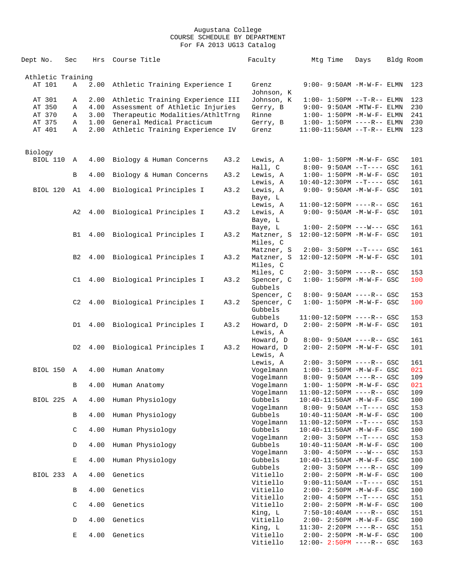| Dept No.          | Sec            | Hrs          | Course Title                         | Faculty                  | Mtg Time                                                    | Days | Bldg Room |            |
|-------------------|----------------|--------------|--------------------------------------|--------------------------|-------------------------------------------------------------|------|-----------|------------|
|                   |                |              |                                      |                          |                                                             |      |           |            |
| Athletic Training |                |              |                                      |                          |                                                             |      |           |            |
| AT 101            | Α              | 2.00         | Athletic Training Experience I       | Grenz<br>Johnson, K      | $9:00 - 9:50AM - M - W - F - ELMN$                          |      |           | 123        |
| AT 301            | Α              | 2.00         | Athletic Training Experience III     | Johnson, K               | $1:00 - 1:50PM -T-R-- ELMN$                                 |      |           | 123        |
| AT 350            | Α              | 4.00         | Assessment of Athletic Injuries      | Gerry, B                 | $9:00 - 9:50AM - MTW - F - ELMN$                            |      |           | 230        |
| AT 370            | Α              | 3.00         | Therapeutic Modalities/AthltTrnq     | Rinne                    | $1:00 - 1:50PM - M - W - F - ELMN$                          |      |           | 241        |
| AT 375<br>AT 401  | Α<br>Α         | 1.00<br>2.00 | General Medical Practicum            | Gerry, B<br>Grenz        | $1:00-1:50PM$ ----R-- ELMN<br>$11:00-11:50AM$ --T-R-- ELMN  |      |           | 230<br>123 |
|                   |                |              | Athletic Training Experience IV      |                          |                                                             |      |           |            |
| Biology           |                |              |                                      |                          |                                                             |      |           |            |
| <b>BIOL 110</b>   | A              | 4.00         | Biology & Human Concerns<br>A3.2     | Lewis, A                 | $1:00 - 1:50PM - M - W - F - GSC$                           |      |           | 101        |
|                   |                |              |                                      | Hall, C                  | $8:00 - 9:50AM -T--- GSC$                                   |      |           | 161        |
|                   | B              | 4.00         | Biology & Human Concerns<br>A3.2     | Lewis, A                 | $1:00 - 1:50PM - M - W - F - GSC$                           |      |           | 101        |
| BIOL 120          |                |              | A3.2                                 | Lewis, A<br>Lewis, A     | $10:40-12:30PM$ --T---- GSC<br>9:00- 9:50AM -M-W-F- GSC     |      |           | 161<br>101 |
|                   | A1             | 4.00         | Biological Principles I              | Baye, L                  |                                                             |      |           |            |
|                   |                |              |                                      | Lewis, A                 | 11:00-12:50PM ----R-- GSC                                   |      |           | 161        |
|                   | A2             |              | 4.00 Biological Principles I<br>A3.2 | Lewis, A                 | 9:00- 9:50AM -M-W-F- GSC                                    |      |           | 101        |
|                   |                |              |                                      | Baye, L                  |                                                             |      |           |            |
|                   |                |              |                                      | Baye, L                  | $1:00-2:50PM$ ---W--- GSC                                   |      |           | 161        |
|                   | B1             |              | 4.00 Biological Principles I<br>A3.2 | Matzner, S               | 12:00-12:50PM -M-W-F- GSC                                   |      |           | 101        |
|                   |                |              |                                      | Miles, C                 |                                                             |      |           |            |
|                   | B2             |              | 4.00 Biological Principles I<br>A3.2 | Matzner, S<br>Matzner, S | $2:00-3:50PM$ --T---- GSC<br>12:00-12:50PM -M-W-F- GSC      |      |           | 161<br>101 |
|                   |                |              |                                      | Miles, C                 |                                                             |      |           |            |
|                   |                |              |                                      | Miles, C                 | $2:00 - 3:50PM$ ----R-- GSC                                 |      |           | 153        |
|                   | C1             |              | 4.00 Biological Principles I<br>A3.2 | Spencer, C               | $1:00 - 1:50PM - M - W - F - GSC$                           |      |           | 100        |
|                   |                |              |                                      | Gubbels                  |                                                             |      |           |            |
|                   |                |              |                                      | Spencer, C               | 8:00- 9:50AM ----R-- GSC                                    |      |           | 153        |
|                   | C2             | 4.00         | Biological Principles I<br>A3.2      | Spencer, C               | $1:00 - 1:50PM - M - W - F - GSC$                           |      |           | 100        |
|                   |                |              |                                      | Gubbels<br>Gubbels       | 11:00-12:50PM ----R-- GSC                                   |      |           | 153        |
|                   | D1             | 4.00         | Biological Principles I<br>A3.2      | Howard, D                | 2:00- 2:50PM -M-W-F- GSC                                    |      |           | 101        |
|                   |                |              |                                      | Lewis, A                 |                                                             |      |           |            |
|                   |                |              |                                      | Howard, D                | $8:00 - 9:50AM$ ----R-- GSC                                 |      |           | 161        |
|                   | D <sub>2</sub> | 4.00         | Biological Principles I<br>A3.2      | Howard, D                | $2:00 - 2:50PM -M-W-F - GSC$                                |      |           | 101        |
|                   |                |              |                                      | Lewis, A                 |                                                             |      |           |            |
| BIOL 150 A        |                |              |                                      | Lewis, A<br>Vogelmann    | $2:00 - 3:50PM$ ----R-- GSC<br>$1:00 - 1:50PM -M-W-F - GSC$ |      |           | 161<br>021 |
|                   |                | 4.00         | Human Anatomy                        | Vogelmann                | $8:00 - 9:50AM$ ----R-- GSC                                 |      |           | 109        |
|                   | B              |              | 4.00 Human Anatomy                   | Vogelmann                | $1:00 - 1:50PM -M-W-F - GSC$                                |      |           | 021        |
|                   |                |              |                                      | Vogelmann                | $11:00-12:50PM$ ----R-- GSC                                 |      |           | 109        |
| BIOL 225          | A              |              | 4.00 Human Physiology                | Gubbels                  | 10:40-11:50AM -M-W-F- GSC                                   |      |           | 100        |
|                   |                |              |                                      | Vogelmann                | $8:00 - 9:50AM -T--- GSC$                                   |      |           | 153        |
|                   | В              |              | 4.00 Human Physiology                | Gubbels<br>Vogelmann     | 10:40-11:50AM -M-W-F- GSC<br>11:00-12:50PM --T---- GSC      |      |           | 100        |
|                   | $\mathsf C$    |              | 4.00 Human Physiology                | Gubbels                  | 10:40-11:50AM -M-W-F- GSC                                   |      |           | 153<br>100 |
|                   |                |              |                                      | Vogelmann                | $2:00-3:50PM$ --T---- GSC                                   |      |           | 153        |
|                   | D              | 4.00         | Human Physiology                     | Gubbels                  | 10:40-11:50AM -M-W-F- GSC                                   |      |           | 100        |
|                   |                |              |                                      | Vogelmann                | $3:00-4:50PM$ ---W--- GSC                                   |      |           | 153        |
|                   | $\mathbf E$    |              | 4.00 Human Physiology                | Gubbels                  | 10:40-11:50AM -M-W-F- GSC                                   |      |           | 100        |
|                   |                |              |                                      | Gubbels                  | $2:00 - 3:50PM$ ----R-- GSC                                 |      |           | 109        |
| BIOL 233          | $\mathbb{A}$   | 4.00         | Genetics                             | Vitiello<br>Vitiello     | $2:00 - 2:50PM -M-W-F - GSC$<br>$9:00-11:50AM$ --T---- GSC  |      |           | 100<br>151 |
|                   | В              | 4.00         | Genetics                             | Vitiello                 | 2:00- 2:50PM -M-W-F- GSC                                    |      |           | 100        |
|                   |                |              |                                      | Vitiello                 | $2:00-4:50PM$ --T---- GSC                                   |      |           | 151        |
|                   | $\mathsf C$    | 4.00         | Genetics                             | Vitiello                 | 2:00- 2:50PM -M-W-F- GSC                                    |      |           | 100        |
|                   |                |              |                                      | King, L                  | $7:50-10:40AM$ ----R-- GSC                                  |      |           | 151        |
|                   | D              | 4.00         | Genetics                             | Vitiello                 | 2:00- 2:50PM -M-W-F- GSC                                    |      |           | 100        |
|                   |                |              |                                      | King, L                  | 11:30- 2:20PM ----R-- GSC                                   |      |           | 151        |
|                   | $\mathbf E$    | 4.00         | Genetics                             | Vitiello<br>Vitiello     | 2:00- 2:50PM -M-W-F- GSC<br>$12:00 - 2:50PM$ ----R-- GSC    |      |           | 100<br>163 |
|                   |                |              |                                      |                          |                                                             |      |           |            |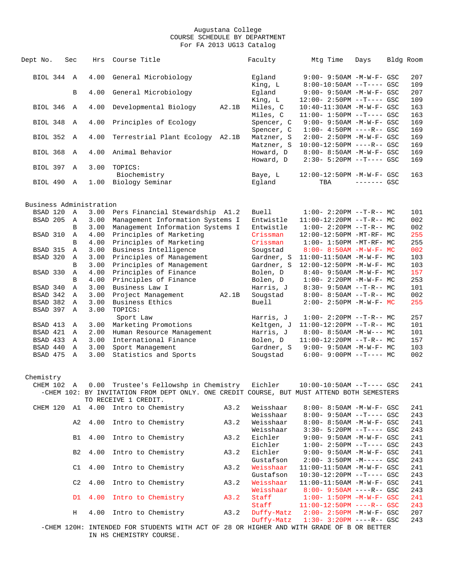| Dept No.                | Sec               | Hrs          | Course Title                                                                               |       | Faculty               | Mtq Time                                                         | Days         | Bldg Room |            |
|-------------------------|-------------------|--------------|--------------------------------------------------------------------------------------------|-------|-----------------------|------------------------------------------------------------------|--------------|-----------|------------|
| BIOL 344 A              |                   | 4.00         | General Microbiology                                                                       |       | Eqland                | 9:00- 9:50AM -M-W-F- GSC                                         |              |           | 207        |
|                         | B                 | 4.00         | General Microbiology                                                                       |       | King, L<br>Egland     | $8:00-10:50AM$ --T---- GSC<br>$9:00 - 9:50AM - M - W - F - GSC$  |              |           | 109<br>207 |
|                         |                   |              |                                                                                            |       | King, L               | $12:00 - 2:50PM -T--- GSC$                                       |              |           | 109        |
| BIOL 346                | A                 | 4.00         | Developmental Biology                                                                      | A2.1B | Miles, C              | 10:40-11:30AM -M-W-F- GSC                                        |              |           | 163        |
|                         |                   |              |                                                                                            |       | Miles, C              | $11:00-1:50PM$ --T---- GSC                                       |              |           | 163        |
| BIOL 348                | $\mathbb A$       | 4.00         | Principles of Ecology                                                                      |       | Spencer, C            | 9:00- 9:50AM -M-W-F- GSC                                         |              |           | 169        |
|                         |                   |              |                                                                                            |       | Spencer, C            | $1:00-4:50PM$ ----R-- GSC                                        |              |           | 169        |
| <b>BIOL 352</b>         | A                 | 4.00         | Terrestrial Plant Ecology                                                                  | A2.1B | Matzner, S            | $2:00 - 2:50PM - M - W - F - GSC$                                |              |           | 169        |
|                         |                   |              |                                                                                            |       | Matzner, S            | 10:00-12:50PM ----R-- GSC                                        |              |           | 169        |
| <b>BIOL 368</b>         | A                 | 4.00         | Animal Behavior                                                                            |       | Howard, D             | $8:00 - 8:50AM - M - W - F - GSC$                                |              |           | 169        |
| BIOL 397 A              |                   | 3.00         | TOPICS:                                                                                    |       | Howard, D             | $2:30 - 5:20PM$ --T---- GSC                                      |              |           | 169        |
|                         |                   |              | Biochemistry                                                                               |       | Baye, L               | 12:00-12:50PM -M-W-F- GSC                                        |              |           | 163        |
| BIOL 490 A              |                   | 1.00         | Biology Seminar                                                                            |       | Egland                | TBA                                                              | $------$ GSC |           |            |
|                         |                   |              |                                                                                            |       |                       |                                                                  |              |           |            |
| Business Administration |                   |              |                                                                                            |       |                       |                                                                  |              |           |            |
| BSAD 120                | A                 | 3.00         | Pers Financial Stewardship A1.2                                                            |       | <b>Buell</b>          | $1:00-2:20PM -T-R--MC$                                           |              |           | 101        |
| BSAD 205                | A                 | 3.00         | Management Information Systems I                                                           |       | Entwistle             | $11:00-12:20PM$ --T-R-- MC                                       |              |           | 002        |
|                         | B                 | 3.00         | Management Information Systems I                                                           |       | Entwistle             | $1:00-2:20PM -T-R--MC$                                           |              |           | 002        |
| BSAD 310                | A                 | 4.00         | Principles of Marketing                                                                    |       | Crissman              | 12:00-12:50PM -MT-RF- MC                                         |              |           | 255        |
|                         | B                 | 4.00         | Principles of Marketing                                                                    |       | Crissman              | $1:00-1:50PM -MT-RF-MC$                                          |              |           | 255        |
| BSAD 315                | Α                 | 3.00         | Business Intelligence                                                                      |       | Sougstad              | $8:00 - 8:50AM - M - W - F - MC$                                 |              |           | 002        |
| BSAD 320                | A                 | 3.00         | Principles of Management                                                                   |       | Gardner, S            | $11:00-11:50AM$ -M-W-F- MC                                       |              |           | 103        |
|                         | B                 | 3.00         | Principles of Management                                                                   |       | Gardner, S            | $12:00-12:50PM -M-W-F-MC$                                        |              |           | 103        |
| BSAD 330                | Α                 | 4.00         | Principles of Finance                                                                      |       | Bolen, D              | $8:40 - 9:50AM - M - W - F - MC$                                 |              |           | 157        |
|                         | B                 | 4.00         | Principles of Finance                                                                      |       | Bolen, D              | $1:00 - 2:20PM -M-W-F-MC$                                        |              |           | 253        |
| BSAD 340                | Α                 | 3.00         | Business Law I                                                                             |       | Harris, J             | $8:30-9:50AM --T-R--MC$                                          |              |           | 101        |
| BSAD 342                | Α                 | 3.00         | Project Management                                                                         | A2.1B | Sougstad              | $8:00-8:50AM --T-R--MC$                                          |              |           | 002        |
| BSAD 382                | Α                 | 3.00         | Business Ethics                                                                            |       | Buell                 | $2:00 - 2:50PM -M-W-F - MC$                                      |              |           | 255        |
| BSAD 397                | $\mathbf{A}$      | 3.00         | TOPICS:                                                                                    |       |                       |                                                                  |              |           |            |
|                         |                   |              | Sport Law                                                                                  |       | Harris, J             | $1:00-2:20PM -T-R--MC$                                           |              |           | 257        |
| BSAD 413                | Α                 | 3.00         | Marketing Promotions                                                                       |       | Keltgen, J            | $11:00-12:20PM$ --T-R-- MC                                       |              |           | 101        |
| BSAD 421<br>BSAD 433    | $\mathbb{A}$<br>A | 2.00<br>3.00 | Human Resource Management<br>International Finance                                         |       | Harris, J<br>Bolen, D | $8:00 - 8:50AM - M-W--- MC$<br>$11:00-12:20PM$ --T-R-- MC        |              |           | 101<br>157 |
| BSAD 440                | Α                 | 3.00         | Sport Management                                                                           |       | Gardner, S            | $9:00 - 9:50AM - M-W-F - MC$                                     |              |           | 103        |
| BSAD 475                | $\mathbb{A}$      | 3.00         | Statistics and Sports                                                                      |       | Sougstad              | $6:00-9:00PM$ --T---- MC                                         |              |           | 002        |
|                         |                   |              |                                                                                            |       |                       |                                                                  |              |           |            |
| Chemistry               |                   |              |                                                                                            |       |                       |                                                                  |              |           |            |
|                         |                   |              | CHEM 102 A 0.00 Trustee's Fellowshp in Chemistry Eichler                                   |       |                       | $10:00-10:50$ AM $--T---$ GSC                                    |              |           | 241        |
|                         |                   |              | -CHEM 102: BY INVITATION FROM DEPT ONLY. ONE CREDIT COURSE, BUT MUST ATTEND BOTH SEMESTERS |       |                       |                                                                  |              |           |            |
|                         |                   |              | TO RECEIVE 1 CREDIT.                                                                       |       |                       |                                                                  |              |           |            |
|                         |                   |              | CHEM 120 A1 4.00 Intro to Chemistry                                                        | A3.2  | Weisshaar             | $8:00 - 8:50AM - M - W - F - GSC$                                |              |           | 241        |
|                         |                   |              |                                                                                            |       | Weisshaar             | $8:00 - 9:50AM -T---$ GSC                                        |              |           | 243        |
|                         | A2                | 4.00         | Intro to Chemistry                                                                         | A3.2  | Weisshaar             | 8:00- 8:50AM -M-W-F- GSC                                         |              |           | 241        |
|                         |                   |              |                                                                                            |       | Weisshaar             | $3:30 - 5:20PM -T--- GSC$                                        |              |           | 243        |
|                         | B1                | 4.00         | Intro to Chemistry                                                                         | A3.2  | Eichler               | $9:00 - 9:50AM - M - W - F - GSC$                                |              |           | 241        |
|                         |                   |              |                                                                                            |       | Eichler               | $1:00-2:50PM --T---GSC$                                          |              |           | 243        |
|                         | <b>B2</b>         | 4.00         | Intro to Chemistry                                                                         | A3.2  | Eichler               | $9:00 - 9:50AM - M - W - F - GSC$                                |              |           | 241        |
|                         |                   |              |                                                                                            |       | Gustafson             | $2:00 - 3:50PM -M--- GSC$                                        |              |           | 243        |
|                         | C1                | 4.00         | Intro to Chemistry                                                                         | A3.2  | Weisshaar             | 11:00-11:50AM -M-W-F- GSC                                        |              |           | 241        |
|                         |                   |              |                                                                                            |       | Gustafson             | 10:30-12:20PM --T---- GSC                                        |              |           | 243        |
|                         | C <sub>2</sub>    | 4.00         | Intro to Chemistry                                                                         | A3.2  | Weisshaar             | $11:00-11:50AM$ -M-W-F- GSC                                      |              |           | 241        |
|                         | D1                | 4.00         | Intro to Chemistry                                                                         | A3.2  | Weisshaar<br>Staff    | $8:00 - 9:50AM$ ----R-- GSC<br>$1:00 - 1:50PM - M - W - F - GSC$ |              |           | 243<br>241 |
|                         |                   |              |                                                                                            |       | Staff                 | $11:00-12:50PM$ ----R-- GSC                                      |              |           | 243        |
|                         | Н                 | 4.00         | Intro to Chemistry                                                                         | A3.2  | Duffy-Matz            | $2:00 - 2:50PM - M - W - F - GSC$                                |              |           | 207        |
|                         |                   |              |                                                                                            |       | Duffy-Matz            | $1:30 - 3:20PM$ ----R-- GSC                                      |              |           | 243        |
|                         |                   |              |                                                                                            |       |                       |                                                                  |              |           |            |

 -CHEM 120H: INTENDED FOR STUDENTS WITH ACT OF 28 OR HIGHER AND WITH GRADE OF B OR BETTER IN HS CHEMISTRY COURSE.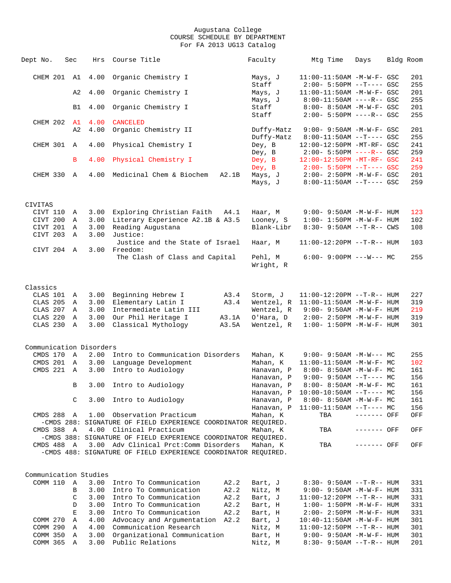| Dept No.                | Sec                         | Hrs          | Course Title                                                   | Faculty                | Mtg Time                                                       | Days         | Bldg Room  |
|-------------------------|-----------------------------|--------------|----------------------------------------------------------------|------------------------|----------------------------------------------------------------|--------------|------------|
| CHEM 201                | A1                          | 4.00         | Organic Chemistry I                                            | Mays, J                | 11:00-11:50AM -M-W-F- GSC                                      |              | 201        |
|                         |                             |              |                                                                | Staff                  | $2:00 - 5:50PM$ --T---- GSC                                    |              | 255        |
|                         | A2                          | 4.00         | Organic Chemistry I                                            | Mays, J                | $11:00-11:50AM$ -M-W-F- GSC                                    |              | 201        |
|                         |                             |              |                                                                | Mays, J                | $8:00-11:50AM$ ----R-- GSC                                     |              | 255        |
|                         | B1                          | 4.00         | Organic Chemistry I                                            | Staff                  | 8:00- 8:50AM -M-W-F- GSC                                       |              | 201        |
|                         |                             |              |                                                                | Staff                  | 2:00- 5:50PM ----R-- GSC                                       |              | 255        |
| CHEM 202 A1             |                             | 4.00         | <b>CANCELED</b>                                                |                        |                                                                |              |            |
|                         | A2                          | 4.00         | Organic Chemistry II                                           | Duffy-Matz             | $9:00 - 9:50AM - M - W - F - GSC$                              |              | 201        |
|                         |                             |              |                                                                | Duffy-Matz             | $8:00-11:50AM$ --T---- GSC                                     |              | 255        |
| CHEM 301                | $\mathbb{A}$                | 4.00         | Physical Chemistry I                                           | Dey, B                 | 12:00-12:50PM -MT-RF- GSC                                      |              | 241        |
|                         |                             |              |                                                                | Dey, B                 | $2:00 - 5:50PM$ ----R-- GSC                                    |              | 259        |
|                         | B                           | 4.00         | Physical Chemistry I                                           | Dey, B<br>Dey, B       | 12:00-12:50PM -MT-RF- GSC<br>$2:00 - 5:50PM -T--- GSC$         |              | 241<br>259 |
| CHEM 330 A              |                             | 4.00         | Medicinal Chem & Biochem<br>A2.1B                              | Mays, J                | $2:00 - 2:50PM - M - W - F - GSC$                              |              | 201        |
|                         |                             |              |                                                                | Mays, J                | $8:00-11:50AM$ --T---- GSC                                     |              | 259        |
|                         |                             |              |                                                                |                        |                                                                |              |            |
|                         |                             |              |                                                                |                        |                                                                |              |            |
| CIVITAS                 |                             |              |                                                                |                        |                                                                |              |            |
| CIVT 110                | Α                           | 3.00         | Exploring Christian Faith<br>A4.1                              | Haar, M                | $9:00 - 9:50AM - M - W - F - HUM$                              |              | 123        |
| CIVT 200                | Α                           | 3.00         | Literary Experience A2.1B & A3.5                               | Looney, S              | $1:00 - 1:50PM - M - W - F - HUM$                              |              | 102        |
| CIVT 201                | Α                           | 3.00         | Reading Augustana                                              | Blank-Libr             | $8:30 - 9:50AM -T-R - CWS$                                     |              | 108        |
| CIVT 203                | $\mathbb{A}$                | 3.00         | Justice:                                                       |                        |                                                                |              |            |
|                         |                             |              | Justice and the State of Israel                                | Haar, M                | $11:00-12:20PM$ --T-R-- HUM                                    |              | 103        |
| CIVT 204                | A                           | 3.00         | Freedom:                                                       |                        |                                                                |              |            |
|                         |                             |              | The Clash of Class and Capital                                 | Pehl, M<br>Wright, R   | $6:00 - 9:00PM$ ---W--- MC                                     |              | 255        |
|                         |                             |              |                                                                |                        |                                                                |              |            |
|                         |                             |              |                                                                |                        |                                                                |              |            |
| Classics                |                             |              |                                                                |                        |                                                                |              |            |
| CLAS 101                | A                           | 3.00         | Beginning Hebrew I<br>A3.4                                     | Storm, J               | $11:00-12:20PM$ --T-R-- HUM                                    |              | 227        |
| CLAS 205                | Α                           | 3.00         | Elementary Latin I<br>A3.4                                     | Wentzel, R             | $11:00-11:50AM$ -M-W-F- HUM                                    |              | 319        |
| CLAS 207                | Α                           | 3.00         | Intermediate Latin III                                         | Wentzel, R             | $9:00 - 9:50AM - M - W - F - HUM$                              |              | 219        |
| CLAS 220                | Α                           | 3.00         | Our Phil Heritage I<br>A3.1A                                   | O'Hara, D              | $2:00 - 2:50PM -M-W-F- HUM$                                    |              | 319        |
| CLAS 230                | $\mathbb{A}$                | 3.00         | Classical Mythology<br>A3.5A                                   | Wentzel, R             | $1:00 - 1:50PM - M - W - F - HUM$                              |              | 301        |
|                         |                             |              |                                                                |                        |                                                                |              |            |
|                         |                             |              |                                                                |                        |                                                                |              |            |
| Communication Disorders |                             |              |                                                                |                        |                                                                |              |            |
| CMDS 170 A              |                             | 2.00         | Intro to Communication Disorders                               | Mahan, K               | $9:00 - 9:50AM -M-W--- MC$                                     |              | 255        |
| CMDS 201<br>CMDS 221    | $\mathbb A$<br>$\mathbb{A}$ | 3.00<br>3.00 | Language Development<br>Intro to Audiology                     | Mahan, K<br>Hanavan, P | $11:00-11:50AM$ -M-W-F- MC<br>$8:00 - 8:50AM - M - W - F - MC$ |              | 102<br>161 |
|                         |                             |              |                                                                | Hanavan, P             | $9:00 - 9:50AM -T--- MC$                                       |              | 156        |
|                         | B                           |              | 3.00 Intro to Audiology                                        | Hanavan, P             | $8:00-8:50AM$ -M-W-F- MC                                       |              | 161        |
|                         |                             |              |                                                                | Hanavan, P             | $10:00-10:50AM$ --T---- MC                                     |              | 156        |
|                         | C                           | 3.00         | Intro to Audiology                                             | Hanavan, P             | 8:00- 8:50AM -M-W-F- MC                                        |              | 161        |
|                         |                             |              |                                                                | Hanavan, P             | $11:00-11:50AM$ --T---- MC                                     |              | 156        |
| CMDS 288 A              |                             | 1.00         | Observation Practicum                                          | Mahan, K               | TBA                                                            | ------- OFF  | OFF        |
|                         |                             |              | -CMDS 288: SIGNATURE OF FIELD EXPERIENCE COORDINATOR REQUIRED. |                        |                                                                |              |            |
| CMDS 388 A              |                             |              | 4.00 Clinical Practicum                                        | Mahan, K               | TBA                                                            | ------- OFF  | OFF        |
|                         |                             |              | -CMDS 388: SIGNATURE OF FIELD EXPERIENCE COORDINATOR REQUIRED. |                        |                                                                |              |            |
| CMDS 488 A              |                             | 3.00         | Adv Clinical Prct: Comm Disorders                              | Mahan, K               | TBA                                                            | $------$ OFF | OFF        |
|                         |                             |              | -CMDS 488: SIGNATURE OF FIELD EXPERIENCE COORDINATOR REQUIRED. |                        |                                                                |              |            |
|                         |                             |              |                                                                |                        |                                                                |              |            |
| Communication Studies   |                             |              |                                                                |                        |                                                                |              |            |
| COMM 110 A              |                             | 3.00         | Intro To Communication<br>A2.2                                 | Bart, J                | $8:30 - 9:50AM -T-R-- HUM$                                     |              | 331        |
|                         | В                           | 3.00         | Intro To Communication<br>A2.2                                 | Nitz, M                | 9:00- 9:50AM -M-W-F- HUM                                       |              | 331        |
|                         | C                           | 3.00         | Intro To Communication<br>A2.2                                 | Bart, J                | $11:00-12:20PM -T-R--HUM$                                      |              | 331        |
|                         | D                           | 3.00         | Intro To Communication<br>A2.2                                 | Bart, H                | $1:00 - 1:50PM - M - W - F - HUM$                              |              | 331        |
|                         | Ε                           | 3.00         | Intro To Communication<br>A2.2                                 | Bart, H                | 2:00- 2:50PM -M-W-F- HUM                                       |              | 331        |
| COMM 270                | Α                           | 4.00         | Advocacy and Argumentation A2.2                                | Bart, J                | $10:40 - 11:50AM$ -M-W-F- HUM                                  |              | 301        |
| COMM 290                | Α                           | 4.00         | Communication Research                                         | Nitz, M                | $11:00-12:50PM$ --T-R-- HUM                                    |              | 301        |
| COMM 350                | Α                           | 3.00         | Organizational Communication                                   | Bart, H                | $9:00 - 9:50AM - M - W - F - HUM$                              |              | 301        |
| COMM 365                | Α                           | 3.00         | Public Relations                                               | Nitz, M                | $8:30 - 9:50AM -T-R-- HUM$                                     |              | 201        |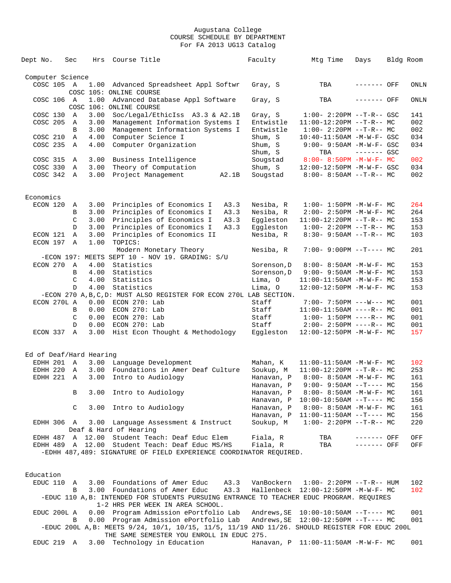| Dept No.                | Sec               | Hrs          | Course Title                                                                              | Faculty     | Mtg Time                            | Days         | Bldg Room  |
|-------------------------|-------------------|--------------|-------------------------------------------------------------------------------------------|-------------|-------------------------------------|--------------|------------|
| Computer Science        |                   |              |                                                                                           |             |                                     |              |            |
| COSC 105 A              |                   | 1.00         | Advanced Spreadsheet Appl Softwr                                                          | Gray, S     | TBA                                 | ------- OFF  | ONLN       |
|                         |                   |              | COSC 105: ONLINE COURSE                                                                   |             |                                     |              |            |
| COSC 106 A              |                   | 1.00         | Advanced Database Appl Software<br>COSC 106: ONLINE COURSE                                | Gray, S     | TBA                                 | ------- OFF  | ONLN       |
|                         |                   |              | Soc/Legal/EthicIss A3.3 & A2.1B                                                           |             |                                     |              |            |
| COSC 130                | Α                 | 3.00         |                                                                                           | Gray, S     | $1:00 - 2:20PM -T-R--GSC$           |              | 141        |
| COSC 205                | Α                 | 3.00         | Management Information Systems I                                                          | Entwistle   | $11:00-12:20PM$ --T-R-- MC          |              | 002        |
|                         | B                 | 3.00         | Management Information Systems I                                                          | Entwistle   | $1:00-2:20PM -T-R--MC$              |              | 002        |
| COSC 210                | Α                 | 4.00         | Computer Science I                                                                        | Shum, S     | $10:40 - 11:50AM$ -M-W-F- GSC       |              | 034        |
| COSC 235                | A                 | 4.00         | Computer Organization                                                                     | Shum, S     | $9:00 - 9:50AM - M - W - F - GSC$   |              | 034        |
|                         |                   |              |                                                                                           | Shum, S     | TBA                                 | $------$ GSC |            |
| COSC 315                | Α                 | 3.00         | Business Intelligence                                                                     | Sougstad    | $8:00 - 8:50PM -M-W-F - MC$         |              | 002        |
| COSC 330                | Α                 | 3.00         | Theory of Computation                                                                     | Shum, S     | 12:00-12:50PM -M-W-F- GSC           |              | 034        |
| COSC 342 A              |                   | 3.00         | Project Management<br>A2.1B                                                               | Sougstad    | $8:00 - 8:50AM -T-R-- MC$           |              | 002        |
| Economics               |                   |              |                                                                                           |             |                                     |              |            |
| ECON 120                | Α                 | 3.00         | Principles of Economics I<br>A3.3                                                         | Nesiba, R   | $1:00 - 1:50PM - M - W - F - MC$    |              | 264        |
|                         | В                 | 3.00         | Principles of Economics I<br>A3.3                                                         | Nesiba, R   | 2:00- 2:50PM -M-W-F- MC             |              | 264        |
|                         |                   |              |                                                                                           |             |                                     |              |            |
|                         | C                 | 3.00         | Principles of Economics I<br>A3.3                                                         | Eggleston   | $11:00-12:20PM$ --T-R-- MC          |              | 153        |
|                         | D                 | 3.00         | Principles of Economics I<br>A3.3                                                         | Eqqleston   | $1:00-2:20PM -T-R--MC$              |              | 153        |
| ECON 121<br>ECON 197    | $\mathbb{A}$<br>A | 3.00<br>1.00 | Principles of Economics II<br>TOPICS:                                                     | Nesiba, R   | $8:30 - 9:50AM -T-R - M$            |              | 103        |
|                         |                   |              | Modern Monetary Theory                                                                    | Nesiba, R   | $7:00-9:00PM$ --T---- MC            |              | 201        |
|                         |                   |              | -ECON 197: MEETS SEPT 10 - NOV 19. GRADING: S/U                                           |             |                                     |              |            |
| ECON 270                | A                 | 4.00         | Statistics                                                                                | Sorenson, D | $8:00 - 8:50AM$ -M-W-F- MC          |              | 153        |
|                         | B                 | 4.00         | Statistics                                                                                | Sorenson, D | $9:00 - 9:50AM - M - W - F - MC$    |              | 153        |
|                         | C                 | 4.00         | Statistics                                                                                | Lima, 0     | $11:00-11:50AM$ -M-W-F- MC          |              | 153        |
|                         | D                 | 4.00         | Statistics                                                                                | Lima, O     | 12:00-12:50PM -M-W-F- MC            |              | 153        |
|                         |                   |              | -ECON 270 A, B, C, D: MUST ALSO REGISTER FOR ECON 270L LAB SECTION.                       |             |                                     |              |            |
| ECON 270L A             |                   |              | 0.00 ECON 270: Lab                                                                        | Staff       | $7:00 - 7:50PM$ ---W--- MC          |              | 001        |
|                         | В                 | 0.00         | ECON 270: Lab                                                                             | Staff       | $11:00-11:50AM$ ----R-- MC          |              | 001        |
|                         |                   |              |                                                                                           |             |                                     |              |            |
|                         | C                 | 0.00         | ECON 270: Lab                                                                             | Staff       | $1:00-1:50PM$ ----R-- MC            |              | 001        |
| ECON 337                | D<br>A            | 0.00         | ECON 270: Lab                                                                             | Staff       | $2:00-2:50PM$ ----R-- MC            |              | 001<br>157 |
|                         |                   | 3.00         | Hist Econ Thought & Methodology                                                           | Eggleston   | 12:00-12:50PM -M-W-F- MC            |              |            |
| Ed of Deaf/Hard Hearing |                   |              |                                                                                           |             |                                     |              |            |
| EDHH 201 A              |                   |              | 3.00 Language Development                                                                 | Mahan, K    | $11:00-11:50AM$ -M-W-F- MC          |              | 102        |
| EDHH 220                | A                 | 3.00         | Foundations in Amer Deaf Culture                                                          | Soukup, M   | $11:00-12:20PM$ --T-R-- MC          |              | 253        |
| EDHH 221 A              |                   | 3.00         | Intro to Audiology                                                                        | Hanavan, P  | $8:00 - 8:50AM - M - W - F - MC$    |              | 161        |
|                         |                   |              |                                                                                           | Hanavan, P  | $9:00 - 9:50AM -T--- MC$            |              | 156        |
|                         | В                 | 3.00         | Intro to Audiology                                                                        | Hanavan, P  | $8:00 - 8:50AM$ -M-W-F- MC          |              | 161        |
|                         |                   |              |                                                                                           | Hanavan, P  | $10:00-10:50AM$ --T---- MC          |              | 156        |
|                         |                   | 3.00         |                                                                                           |             |                                     |              |            |
|                         | C                 |              | Intro to Audiology                                                                        | Hanavan, P  | $8:00 - 8:50AM$ -M-W-F- MC          |              | 161        |
|                         |                   |              |                                                                                           | Hanavan, P  | $11:00-11:50AM$ --T---- MC          |              | 156        |
| EDHH 306 A              |                   |              | 3.00 Language Assessment & Instruct<br>Deaf & Hard of Hearing                             | Soukup, M   | $1:00-2:20PM -T-R--MC$              |              | 220        |
|                         |                   |              | EDHH 487 A 12.00 Student Teach: Deaf Educ Elem                                            | Fiala, R    | TBA                                 | ------- OFF  | OFF        |
|                         |                   |              | EDHH 489 A 12.00 Student Teach: Deaf Educ MS/HS                                           | Fiala, R    | TBA                                 | ------- OFF  | OFF        |
|                         |                   |              | -EDHH 487,489: SIGNATURE OF FIELD EXPERIENCE COORDINATOR REQUIRED.                        |             |                                     |              |            |
|                         |                   |              |                                                                                           |             |                                     |              |            |
| Education               |                   |              |                                                                                           |             |                                     |              |            |
| EDUC 110 A              |                   |              | 3.00 Foundations of Amer Educ<br>A3.3                                                     | VanBockern  | $1:00-2:20PM -T-R--HUM$             |              | 102        |
|                         | B                 |              | 3.00 Foundations of Amer Educ<br>A3.3                                                     |             | Hallenbeck 12:00-12:50PM -M-W-F- MC |              | 102        |
|                         |                   |              | -EDUC 110 A, B: INTENDED FOR STUDENTS PURSUING ENTRANCE TO TEACHER EDUC PROGRAM. REQUIRES |             |                                     |              |            |

 1-2 HRS PER WEEK IN AREA SCHOOL. EDUC 200L A 0.00 Program Admission ePortfolio Lab Andrews,SE 10:00-10:50AM --T---- MC 001 B 0.00 Program Admission ePortfolio Lab Andrews,SE 12:00-12:50PM --T---- MC 001 -EDUC 200L A,B: MEETS 9/24, 10/1, 10/15, 11/5, 11/19 AND 11/26. SHOULD REGISTER FOR EDUC 200L THE SAME SEMESTER YOU ENROLL IN EDUC 275.

EDUC 219 A 3.00 Technology in Education Hanavan, P 11:00-11:50AM -M-W-F- MC 001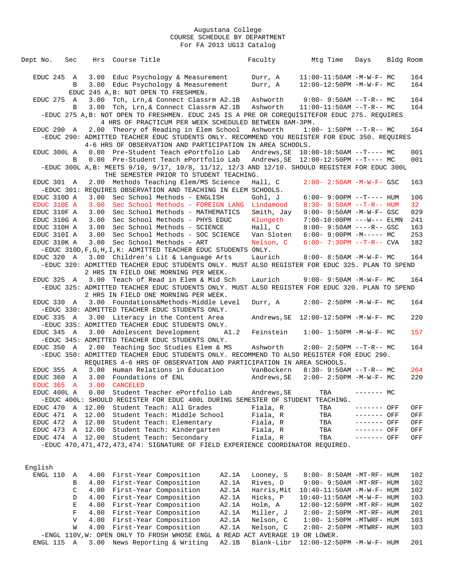| Dept No.         | Sec              |              | Hrs Course Title                                                                                                                                               | Faculty                                  |            | Mtg Time                                                  | Days        | Bldg Room |                 |
|------------------|------------------|--------------|----------------------------------------------------------------------------------------------------------------------------------------------------------------|------------------------------------------|------------|-----------------------------------------------------------|-------------|-----------|-----------------|
|                  |                  |              |                                                                                                                                                                |                                          |            |                                                           |             |           |                 |
| EDUC 245 A       |                  |              | 3.00 Educ Psychology & Measurement                                                                                                                             | Durr, A                                  |            | $11:00-11:50AM$ -M-W-F- MC                                |             |           | 164             |
|                  | B                |              | 3.00 Educ Psychology & Measurement                                                                                                                             | Durr, A                                  |            | 12:00-12:50PM -M-W-F- MC                                  |             |           | 164             |
|                  |                  |              | EDUC 245 A, B: NOT OPEN TO FRESHMEN.                                                                                                                           |                                          |            |                                                           |             |           |                 |
| EDUC 275 A       |                  |              | 3.00 Tch, Lrn, & Connect Classrm A2.1B                                                                                                                         | Ashworth                                 |            | $9:00 - 9:50AM -T-R--MC$                                  |             |           | 164             |
|                  | B                |              | 3.00 Tch, Lrn, & Connect Classrm A2.1B                                                                                                                         | Ashworth                                 |            | $11:00-11:50AM$ --T-R-- MC                                |             |           | 164             |
|                  |                  |              | -EDUC 275 A, B: NOT OPEN TO FRESHMEN. EDUC 245 IS A PRE OR COREQUISITEFOR EDUC 275. REQUIRES                                                                   |                                          |            |                                                           |             |           |                 |
|                  |                  |              | 4 HRS OF PRACTICUM PER WEEK SCHEDULED BETWEEN 8AM-3PM.                                                                                                         |                                          |            |                                                           |             |           |                 |
| EDUC 290 A       |                  |              | 2.00 Theory of Reading in Elem School                                                                                                                          | Ashworth                                 |            | $1:00-1:50PM$ --T-R-- MC                                  |             |           | 164             |
|                  |                  |              | -EDUC 290: ADMITTED TEACHER EDUC STUDENTS ONLY. RECOMMEND YOU REGISTER FOR EDUC 350. REQUIRES                                                                  |                                          |            |                                                           |             |           |                 |
|                  |                  |              | 4-6 HRS OF OBSERVATION AND PARTICIPATION IN AREA SCHOOLS.                                                                                                      |                                          |            |                                                           |             |           |                 |
| EDUC 300L A      |                  |              | 0.00 Pre-Student Teach ePortfolio Lab                                                                                                                          |                                          |            |                                                           |             |           | 001             |
|                  | B                |              | 0.00 Pre-Student Teach ePortfolio Lab                                                                                                                          |                                          |            |                                                           |             |           | 001             |
|                  |                  |              | -EDUC 300L A, B: MEETS 9/10, 9/17, 10/8, 11/12, 12/3 AND 12/10. SHOULD REGISTER FOR EDUC 300L                                                                  |                                          |            |                                                           |             |           |                 |
|                  |                  |              | THE SEMESTER PRIOR TO STUDENT TEACHING.                                                                                                                        | Hall, C                                  |            | $2:00 - 2:50AM - M - W - F - GSC$                         |             |           | 163             |
| EDUC 301 A       |                  |              | 2.00 Methods Teaching Elem/MS Science<br>-EDUC 301: REOUIRES OBSERVATION AND TEACHING IN ELEM SCHOOLS.                                                         |                                          |            |                                                           |             |           |                 |
| EDUC 310D A      |                  |              | 3.00 Sec School Methods - ENGLISH                                                                                                                              | Gohl, J                                  |            | $6:00 - 9:00PM -T--- HUM$                                 |             |           | 106             |
| EDUC 310E A      |                  | 3.00         | Sec School Methods - FOREIGN LANG                                                                                                                              | Lindamood                                |            | $8:30 - 9:50AM -T-R--HUM$                                 |             |           | 32 <sup>°</sup> |
| EDUC 310F A      |                  |              | 3.00 Sec School Methods - MATHEMATICS                                                                                                                          |                                          | Smith, Jay | $9:00 - 9:50AM -M-W-F - GSC$                              |             |           | 029             |
| EDUC 310G A      |                  | 3.00         | Sec School Methods - PHYS EDUC                                                                                                                                 | Klungeth                                 |            | $7:00-10:00PM$ ---W--- ELMN                               |             |           | 241             |
| EDUC 310H A      |                  | 3.00         | Sec School Methods - SCIENCE                                                                                                                                   | Hall, C                                  |            | $8:00 - 9:50AM$ ----R-- GSC                               |             |           | 163             |
| EDUC 310I A      |                  | 3.00         | Sec School Methods - SOC SCIENCE                                                                                                                               |                                          | Van Sloten | $6:00-9:00PM -M--- MC$                                    |             |           | 253             |
| EDUC 310K A      |                  |              | 3.00 Sec School Methods - ART                                                                                                                                  | Nelson, C                                |            | $6:00 - 7:30PM -T-R--CVA$                                 |             |           | 182             |
|                  |                  |              | -EDUC 310D, F, G, H, I, K: ADMITTED TEACHER EDUC STUDENTS ONLY.                                                                                                |                                          |            |                                                           |             |           |                 |
| EDUC 320 A       |                  |              | 3.00 Children's Lit & Language Arts                                                                                                                            | Laurich                                  |            | 8:00- 8:50AM -M-W-F- MC                                   |             |           | 164             |
|                  |                  |              | -EDUC 320: ADMITTED TEACHER EDUC STUDENTS ONLY. MUST ALSO REGISTER FOR EDUC 325. PLAN TO SPEND                                                                 |                                          |            |                                                           |             |           |                 |
|                  |                  |              | 2 HRS IN FIELD ONE MORNING PER WEEK.                                                                                                                           |                                          |            |                                                           |             |           |                 |
| EDUC 325 A       |                  |              | 3.00 Teach of Read in Elem & Mid Sch                                                                                                                           | Laurich                                  |            | $9:00 - 9:50AM - M - W - F - MC$                          |             |           | 164             |
|                  |                  |              | -EDUC 325: ADMITTED TEACHER EDUC STUDENTS ONLY. MUST ALSO REGISTER FOR EDUC 320. PLAN TO SPEND                                                                 |                                          |            |                                                           |             |           |                 |
|                  |                  |              | 2 HRS IN FIELD ONE MORNING PER WEEK.                                                                                                                           |                                          |            |                                                           |             |           |                 |
| EDUC 330         | $\overline{A}$   |              | 3.00 Foundations&Methods-Middle Level                                                                                                                          | Durr, A                                  |            | $2:00 - 2:50PM -M-W-F-MC$                                 |             |           | 164             |
|                  |                  |              | -EDUC 330: ADMITTED TEACHER EDUC STUDENTS ONLY.                                                                                                                |                                          |            |                                                           |             |           |                 |
| EDUC 335 A       |                  |              | 3.00 Literacy in the Content Area                                                                                                                              |                                          |            |                                                           |             |           | 220             |
|                  |                  |              | -EDUC 335: ADMITTED TEACHER EDUC STUDENTS ONLY.                                                                                                                |                                          |            |                                                           |             |           |                 |
| EDUC 345 A       |                  |              | 3.00 Adolescent Development                                                                                                                                    | A1.2<br>Feinstein                        |            | $1:00 - 1:50PM -M-W-F - MC$                               |             |           | 157             |
|                  |                  |              | -EDUC 345: ADMITTED TEACHER EDUC STUDENTS ONLY.                                                                                                                |                                          |            |                                                           |             |           |                 |
| EDUC 350 A       |                  |              | 2.00 Teaching Soc Studies Elem & MS                                                                                                                            | Ashworth                                 |            | $2:00-2:50PM -T-R--MC$                                    |             |           | 164             |
|                  |                  |              | -EDUC 350: ADMITTED TEACHER EDUC STUDENTS ONLY. RECOMMEND TO ALSO REGISTER FOR EDUC 290.<br>REQUIRES 4-6 HRS OF OBSERVATION AND PARTICIPATION IN AREA SCHOOLS. |                                          |            |                                                           |             |           |                 |
| EDUC 355         | A                |              | 3.00 Human Relations in Education                                                                                                                              |                                          | VanBockern | $8:30 - 9:50AM -T-R-- MC$                                 |             |           | 264             |
| EDUC 360         | $\mathbb A$      |              | 3.00 Foundations of ENL                                                                                                                                        | Andrews, SE                              |            | $2:00 - 2:50PM -M-W-F-MC$                                 |             |           | 220             |
|                  |                  |              | EDUC 365 A 3.00 CANCELED                                                                                                                                       |                                          |            |                                                           |             |           |                 |
| EDUC 400L A      |                  |              | 0.00 Student Teacher ePortfolio Lab                                                                                                                            | Andrews, SE                              |            | TBA                                                       | $------$ MC |           |                 |
|                  |                  |              | -EDUC 400L: SHOULD REGISTER FOR EDUC 400L DURING SEMESTER OF STUDENT TEACHING.                                                                                 |                                          |            |                                                           |             |           |                 |
| EDUC 470         | A                | 12.00        | Student Teach: All Grades                                                                                                                                      | Fiala, R                                 |            | TBA                                                       | ------- OFF |           | OFF             |
| EDUC 471         | Α                | 12.00        | Student Teach: Middle School                                                                                                                                   | Fiala, R                                 |            | TBA                                                       | ------- OFF |           | OFF             |
| EDUC 472 A       |                  | 12.00        | Student Teach: Elementary                                                                                                                                      | Fiala, R                                 |            | TBA                                                       | ------- OFF |           | OFF             |
| EDUC 473 A 12.00 |                  |              | Student Teach: Kindergarten                                                                                                                                    | Fiala, R                                 |            | TBA                                                       | ------- OFF |           | OFF             |
|                  |                  |              | EDUC 474 A 12.00 Student Teach: Secondary                                                                                                                      | Fiala, R                                 |            | TBA                                                       | ------- OFF |           | OFF             |
|                  |                  |              | -EDUC 470, 471, 472, 473, 474: SIGNATURE OF FIELD EXPERIENCE COORDINATOR REQUIRED.                                                                             |                                          |            |                                                           |             |           |                 |
|                  |                  |              |                                                                                                                                                                |                                          |            |                                                           |             |           |                 |
|                  |                  |              |                                                                                                                                                                |                                          |            |                                                           |             |           |                 |
| English          |                  |              |                                                                                                                                                                |                                          |            |                                                           |             |           |                 |
| ENGL 110         | Α                |              | 4.00 First-Year Composition                                                                                                                                    | A2.1A<br>Looney, S                       |            | 8:00- 8:50AM -MT-RF- HUM                                  |             |           | 102             |
|                  | В                | 4.00         | First-Year Composition                                                                                                                                         | A2.1A<br>Rives, D                        |            | 9:00- 9:50AM -MT-RF- HUM                                  |             |           | 102             |
|                  | C                | 4.00         | First-Year Composition                                                                                                                                         | A2.1A<br>Harris, Mit                     |            | $10:40 - 11:50AM$ -M-W-F- HUM                             |             |           | 102             |
|                  | D                |              | 4.00 First-Year Composition                                                                                                                                    | A2.1A<br>Hicks, P                        |            | $10:40 - 11:50AM$ -M-W-F- HUM                             |             |           | 103             |
|                  | Е<br>$\mathbf F$ |              | 4.00 First-Year Composition                                                                                                                                    | A2.1A<br>Holm, A                         |            | $12:00-12:50PM$ -MT-RF- HUM                               |             |           | 102             |
|                  | V                | 4.00<br>4.00 | First-Year Composition<br>First-Year Composition                                                                                                               | A2.1A<br>Miller, J<br>A2.1A<br>Nelson, C |            | 2:00- 2:50PM -MT-RF- HUM<br>$1:00 - 1:50PM - MTWRF - HUM$ |             |           | 201<br>103      |
|                  | W                | 4.00         | First-Year Composition                                                                                                                                         | A2.1A<br>Nelson, C                       |            | $2:00-2:50PM -MTWRF-HUM$                                  |             |           | 103             |
|                  |                  |              |                                                                                                                                                                |                                          |            |                                                           |             |           |                 |

 -ENGL 110V,W: OPEN ONLY TO FROSH WHOSE ENGL & READ ACT AVERAGE 19 OR LOWER. ENGL 115 A 3.00 News Reporting & Writing A2.1B Blank-Libr 12:00-12:50PM -M-W-F- HUM 201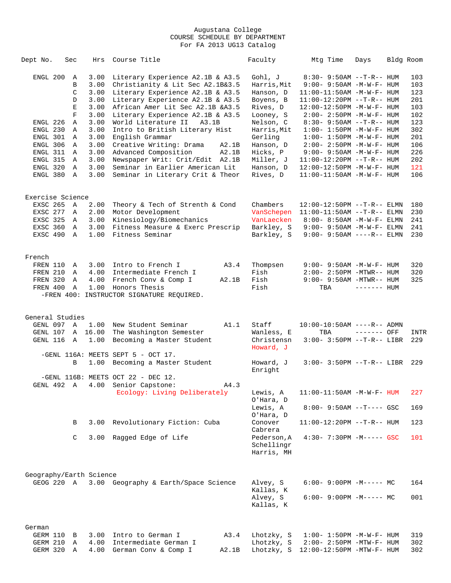| Dept No.                                                                                                   | Sec                                                                                | Hrs                                                                                                          | Course Title                                                                                                                                                                                                                                                                                                                                                                                                                                                           |                | Faculty                                                                                                                                                                         | Mtg Time                                                                                                                                                                                                                                                                                                                                                                                                                                                    | Days         | Bldg Room |                                                                                                |
|------------------------------------------------------------------------------------------------------------|------------------------------------------------------------------------------------|--------------------------------------------------------------------------------------------------------------|------------------------------------------------------------------------------------------------------------------------------------------------------------------------------------------------------------------------------------------------------------------------------------------------------------------------------------------------------------------------------------------------------------------------------------------------------------------------|----------------|---------------------------------------------------------------------------------------------------------------------------------------------------------------------------------|-------------------------------------------------------------------------------------------------------------------------------------------------------------------------------------------------------------------------------------------------------------------------------------------------------------------------------------------------------------------------------------------------------------------------------------------------------------|--------------|-----------|------------------------------------------------------------------------------------------------|
| ENGL 200<br>ENGL 226<br>ENGL 230<br>ENGL 301<br>ENGL 306<br>ENGL 311<br>ENGL 315<br>ENGL 320<br>ENGL 380 A | A<br>B<br>C<br>D<br>Е<br>$\mathbf F$<br>Α<br>A<br>A<br>A<br>A<br>A<br>$\mathbb{A}$ | 3.00<br>3.00<br>3.00<br>3.00<br>3.00<br>3.00<br>3.00<br>3.00<br>3.00<br>3.00<br>3.00<br>3.00<br>3.00<br>3.00 | Literary Experience A2.1B & A3.5<br>Christianity & Lit Sec A2.1B&3.5<br>Literary Experience A2.1B & A3.5<br>Literary Experience A2.1B & A3.5<br>African Amer Lit Sec A2.1B &A3.5<br>Literary Experience A2.1B & A3.5<br>World Literature II<br>A3.1B<br>Intro to British Literary Hist<br>English Grammar<br>Creative Writing: Drama<br>Advanced Composition<br>Newspaper Writ: Crit/Edit A2.1B<br>Seminar in Earlier American Lit<br>Seminar in Literary Crit & Theor | A2.1B<br>A2.1B | Gohl, J<br>Harris, Mit<br>Hanson, D<br>Boyens, B<br>Rives, D<br>Looney, S<br>Nelson, C<br>Harris, Mit<br>Gerling<br>Hanson, D<br>Hicks, P<br>Miller, J<br>Hanson, D<br>Rives, D | $8:30 - 9:50AM -T-R-- HUM$<br>$9:00 - 9:50AM -M-W-F - HUM$<br>$11:00-11:50AM$ -M-W-F- HUM<br>$11:00-12:20PM --T-R--HUM$<br>12:00-12:50PM -M-W-F- HUM<br>$2:00 - 2:50PM -M-W-F - HUM$<br>$8:30 - 9:50AM -T-R--HUM$<br>$1:00 - 1:50PM - M - W - F - HUM$<br>$1:00 - 1:50PM - M - W - F - HUM$<br>$2:00 - 2:50PM -M-W-F - HUM$<br>$9:00 - 9:50AM - M - W - F - HUM$<br>$11:00-12:20PM$ --T-R-- HUM<br>12:00-12:50PM -M-W-F- HUM<br>$11:00-11:50AM$ -M-W-F- HUM |              |           | 103<br>103<br>123<br>201<br>103<br>102<br>123<br>302<br>201<br>106<br>226<br>202<br>121<br>106 |
|                                                                                                            |                                                                                    |                                                                                                              |                                                                                                                                                                                                                                                                                                                                                                                                                                                                        |                |                                                                                                                                                                                 |                                                                                                                                                                                                                                                                                                                                                                                                                                                             |              |           |                                                                                                |
| Exercise Science<br>EXSC 265 A<br>EXSC 277 A<br>EXSC 325<br>EXSC 360<br>EXSC 490 A                         | A<br>A                                                                             | 2.00<br>2.00<br>3.00<br>1.00                                                                                 | Theory & Tech of Strenth & Cond<br>Motor Development<br>3.00 Kinesiology/Biomechanics<br>Fitness Measure & Exerc Prescrip<br>Fitness Seminar                                                                                                                                                                                                                                                                                                                           |                | Chambers<br>VanSchepen<br>VanLaecken<br>Barkley, S<br>Barkley, S                                                                                                                | $12:00-12:50PM$ --T-R-- ELMN<br>$11:00-11:50AM$ --T-R-- ELMN<br>8:00- 8:50AM -M-W-F- ELMN<br>$9:00 - 9:50AM - M - W - F - ELMN$<br>$9:00 - 9:50AM$ ----R-- ELMN                                                                                                                                                                                                                                                                                             |              |           | 180<br>230<br>241<br>241<br>230                                                                |
| French<br>FREN 110<br>FREN 210<br>FREN 320<br>FREN 400                                                     | A<br>A<br>$\mathbb{A}$<br>$\overline{A}$                                           | 4.00<br>4.00                                                                                                 | 3.00 Intro to French I<br>Intermediate French I<br>French Conv & Comp I<br>1.00 Honors Thesis<br>-FREN 400: INSTRUCTOR SIGNATURE REQUIRED.                                                                                                                                                                                                                                                                                                                             | A3.4<br>A2.1B  | Thompsen<br>Fish<br>Fish<br>Fish                                                                                                                                                | 9:00- 9:50AM -M-W-F- HUM<br>$2:00 - 2:50PM - MTWR - - HUM$<br>$9:00 - 9:50AM - MTWR-- HUM$<br>TBA                                                                                                                                                                                                                                                                                                                                                           | $------$ HUM |           | 320<br>320<br>325                                                                              |
| General Studies<br>GENL 097 A<br>GENL 107 A 16.00<br>GENL 116 A                                            |                                                                                    | 1.00<br>1.00                                                                                                 | New Student Seminar<br>The Washington Semester<br>Becoming a Master Student                                                                                                                                                                                                                                                                                                                                                                                            | A1.1           | Staff<br>Wanless, E<br>Christensn                                                                                                                                               | $10:00-10:50AM$ ----R-- ADMN<br>TBA<br>$3:00 - 3:50PM -T-R-- LIBR$                                                                                                                                                                                                                                                                                                                                                                                          | $------$ OFF |           | INTR<br>229                                                                                    |
|                                                                                                            | B                                                                                  | 1.00                                                                                                         | -GENL 116A: MEETS SEPT 5 - OCT 17.<br>Becoming a Master Student                                                                                                                                                                                                                                                                                                                                                                                                        |                | Howard, J<br>Howard, J<br>Enright                                                                                                                                               | $3:00 - 3:50PM -T-R-- LIBR$                                                                                                                                                                                                                                                                                                                                                                                                                                 |              |           | 229                                                                                            |
|                                                                                                            |                                                                                    |                                                                                                              | -GENL 116B: MEETS OCT 22 - DEC 12.<br>GENL 492 A 4.00 Senior Capstone:<br>Ecology: Living Deliberately                                                                                                                                                                                                                                                                                                                                                                 | A4.3           | Lewis, A<br>O'Hara, D<br>Lewis, A<br>O'Hara, D                                                                                                                                  | $11:00-11:50AM - M-W-F- HUM$<br>$8:00 - 9:50AM -T--- GSC$                                                                                                                                                                                                                                                                                                                                                                                                   |              |           | 227<br>169                                                                                     |
|                                                                                                            | В<br>C                                                                             | 3.00                                                                                                         | Revolutionary Fiction: Cuba<br>3.00 Ragged Edge of Life                                                                                                                                                                                                                                                                                                                                                                                                                |                | Conover<br>Cabrera<br>Pederson, A<br>Schellingr<br>Harris, MH                                                                                                                   | $11:00-12:20PM$ --T-R-- HUM<br>$4:30 - 7:30PM - M--- -$ GSC                                                                                                                                                                                                                                                                                                                                                                                                 |              |           | 123<br>101                                                                                     |
|                                                                                                            |                                                                                    |                                                                                                              |                                                                                                                                                                                                                                                                                                                                                                                                                                                                        |                |                                                                                                                                                                                 |                                                                                                                                                                                                                                                                                                                                                                                                                                                             |              |           |                                                                                                |
| Geography/Earth Science                                                                                    |                                                                                    |                                                                                                              | GEOG 220 A 3.00 Geography & Earth/Space Science                                                                                                                                                                                                                                                                                                                                                                                                                        |                | Alvey, S<br>Kallas, K<br>Alvey, S<br>Kallas, K                                                                                                                                  | $6:00-9:00PM -M--- MC$<br>$6:00-9:00PM -M--- - M$                                                                                                                                                                                                                                                                                                                                                                                                           |              |           | 164<br>001                                                                                     |
| German<br>GERM 110 B<br>GERM 210<br>GERM 320                                                               | Α<br>Α                                                                             | 3.00<br>4.00<br>4.00                                                                                         | Intro to German I<br>Intermediate German I<br>German Conv & Comp I                                                                                                                                                                                                                                                                                                                                                                                                     | A3.4<br>A2.1B  | Lhotzky, S<br>Lhotzky, S<br>Lhotzky, S                                                                                                                                          | $1:00 - 1:50PM - M - W - F - HUM$<br>$2:00 - 2:50PM - MTW - F - HUM$<br>12:00-12:50PM -MTW-F- HUM                                                                                                                                                                                                                                                                                                                                                           |              |           | 319<br>302<br>302                                                                              |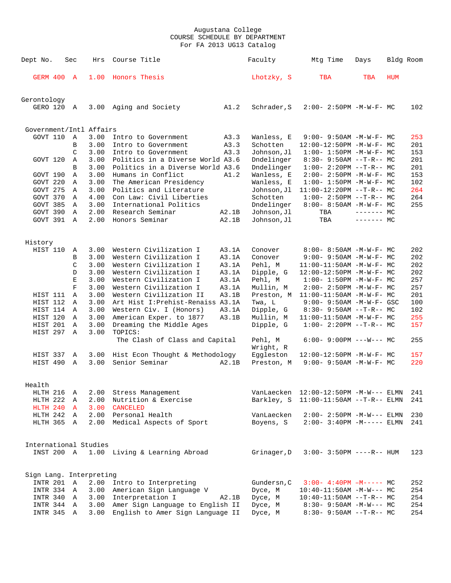| Dept No.                | Sec          | Hrs  | Course Title                      |       | Faculty              | Mtg Time                         | Days        | Bldg Room |     |
|-------------------------|--------------|------|-----------------------------------|-------|----------------------|----------------------------------|-------------|-----------|-----|
| <b>GERM 400 A</b>       |              | 1.00 | Honors Thesis                     |       | Lhotzky, S           | TBA                              | TBA         | HUM       |     |
| Gerontology             |              |      |                                   |       |                      |                                  |             |           |     |
| GERO 120 A              |              | 3.00 | Aging and Society                 | A1.2  | Schrader, S          | $2:00 - 2:50PM -M-W-F - MC$      |             |           | 102 |
| Government/Intl Affairs |              |      |                                   |       |                      |                                  |             |           |     |
| GOVT 110                | A            | 3.00 | Intro to Government               | A3.3  | Wanless, E           | $9:00 - 9:50AM - M - W - F - MC$ |             |           | 253 |
|                         | B            | 3.00 | Intro to Government               | A3.3  | Schotten             | 12:00-12:50PM -M-W-F- MC         |             |           | 201 |
|                         | C            | 3.00 | Intro to Government               | A3.3  | Johnson, Jl          | $1:00-1:50PM -M-W-F-MC$          |             |           | 153 |
| GOVT 120                | A            | 3.00 | Politics in a Diverse World A3.6  |       | Dndelinger           | $8:30 - 9:50AM -T-R-- MC$        |             |           | 201 |
|                         | B            | 3.00 | Politics in a Diverse World A3.6  |       | Dndelinger           | $1:00-2:20PM -T-R--MC$           |             |           | 201 |
| GOVT 190                | Α            | 3.00 | Humans in Conflict                | A1.2  | Wanless, E           | $2:00 - 2:50PM -M-W-F - MC$      |             |           | 153 |
| GOVT 220                | Α            | 3.00 | The American Presidency           |       | Wanless, E           | $1:00 - 1:50PM - M - W - F - MC$ |             |           | 102 |
| GOVT 275                | A            | 3.00 | Politics and Literature           |       | Johnson, Jl          | $11:00-12:20PM$ --T-R-- MC       |             |           | 264 |
| GOVT 370                | A            | 4.00 | Con Law: Civil Liberties          |       | Schotten             | $1:00-2:50PM -T-R--MC$           |             |           | 264 |
| GOVT 385                | Α            | 3.00 | International Politics            |       | Dndelinger           | $8:00 - 8:50AM - M - W - F - MC$ |             |           | 255 |
| GOVT 390                | $\mathbf{A}$ | 2.00 | Research Seminar                  | A2.1B | Johnson, Jl          | TBA                              | $------$ MC |           |     |
| GOVT 391                | A            | 2.00 | Honors Seminar                    | A2.1B | Johnson, Jl          | TBA                              | $------$ MC |           |     |
| History                 |              |      |                                   |       |                      |                                  |             |           |     |
| HIST 110                | Α            | 3.00 | Western Civilization I            | A3.1A | Conover              | $8:00 - 8:50AM - M - W - F - MC$ |             |           | 202 |
|                         | B            | 3.00 | Western Civilization I            | A3.1A | Conover              | $9:00 - 9:50AM - M-W-F - MC$     |             |           | 202 |
|                         | C            | 3.00 | Western Civilization I            | A3.1A | Pehl, M              | $11:00-11:50AM$ -M-W-F- MC       |             |           | 202 |
|                         | D            | 3.00 | Western Civilization I            | A3.1A | Dipple, G            | 12:00-12:50PM -M-W-F- MC         |             |           | 202 |
|                         | $\mathbf E$  | 3.00 | Western Civilization I            | A3.1A | Pehl, M              | $1:00 - 1:50PM -M-W-F - MC$      |             |           | 257 |
|                         | $\mathbf F$  | 3.00 | Western Civilization I            | A3.1A | Mullin, M            | $2:00 - 2:50PM -M-W-F - MC$      |             |           | 257 |
| HIST 111                | $\mathbb{A}$ | 3.00 | Western Civilization II           | A3.1B | Preston, M           | $11:00-11:50AM$ -M-W-F- MC       |             |           | 201 |
| HIST 112                | Α            | 3.00 | Art Hist I: Prehist-Renaiss A3.1A |       | Twa, L               | $9:00 - 9:50AM - M-W-F - GSC$    |             |           | 100 |
| HIST 114 A              |              | 3.00 | Western Civ. I (Honors)           | A3.1A | Dipple, G            | $8:30 - 9:50AM -T-R-- MC$        |             |           | 102 |
| HIST 120                | A            | 3.00 | American Exper. to 1877           | A3.1B | Mullin, M            | $11:00-11:50AM$ -M-W-F- MC       |             |           | 255 |
| HIST 201                | Α            | 3.00 | Dreaming the Middle Ages          |       | Dipple, G            | $1:00-2:20PM --T-R--MC$          |             |           | 157 |
| HIST 297                | Α            | 3.00 | TOPICS:                           |       |                      |                                  |             |           |     |
|                         |              |      | The Clash of Class and Capital    |       | Pehl, M<br>Wright, R | $6:00 - 9:00PM$ ---W--- MC       |             |           | 255 |
| HIST 337                | Α            | 3.00 | Hist Econ Thought & Methodology   |       | Eggleston            | 12:00-12:50PM -M-W-F- MC         |             |           | 157 |
| HIST 490                | $\mathbb{A}$ | 3.00 | Senior Seminar                    | A2.1B | Preston, M           | $9:00 - 9:50AM - M - W - F - MC$ |             |           | 220 |
| Health                  |              |      |                                   |       |                      |                                  |             |           |     |
| HLTH 216                | Α            | 2.00 | Stress Management                 |       | VanLaecken           | 12:00-12:50PM -M-W--- ELMN       |             |           | 241 |
| HLTH 222 A              |              | 2.00 | Nutrition & Exercise              |       | Barkley, S           | $11:00-11:50AM$ --T-R-- ELMN     |             |           | 241 |
| HLTH 240 A              |              | 3.00 | CANCELED                          |       |                      |                                  |             |           |     |
| HLTH 242 A              |              |      | 2.00 Personal Health              |       | VanLaecken           | $2:00 - 2:50PM -M-W---$ ELMN     |             |           | 230 |
| HLTH 365 A              |              | 2.00 | Medical Aspects of Sport          |       | Boyens, S            | $2:00-3:40PM -M-----$ ELMN       |             |           | 241 |
| International Studies   |              |      |                                   |       |                      |                                  |             |           |     |
| INST 200 A              |              |      | 1.00 Living & Learning Abroad     |       | Grinager, D          | $3:00 - 3:50PM$ ----R-- HUM      |             |           | 123 |
| Sign Lang. Interpreting |              |      |                                   |       |                      |                                  |             |           |     |
| INTR 201 A              |              | 2.00 | Intro to Interpreting             |       | Gundersn, C          | $3:00-4:40PM -M--- MC$           |             |           | 252 |
| INTR 334 A              |              | 3.00 | American Sign Language V          |       | Dyce, M              | $10:40-11:50AM$ -M-W--- MC       |             |           | 254 |
| INTR 340 A              |              |      | 3.00 Interpretation I             | A2.1B | Dyce, M              | $10:40-11:50AM$ --T-R-- MC       |             |           | 254 |
| INTR 344 A              |              | 3.00 | Amer Sign Language to English II  |       | Dyce, M              | $8:30 - 9:50AM - M-W--- MC$      |             |           | 254 |
| INTR 345 A              |              | 3.00 | English to Amer Sign Language II  |       | Dyce, M              | $8:30 - 9:50AM -T-R-- MC$        |             |           | 254 |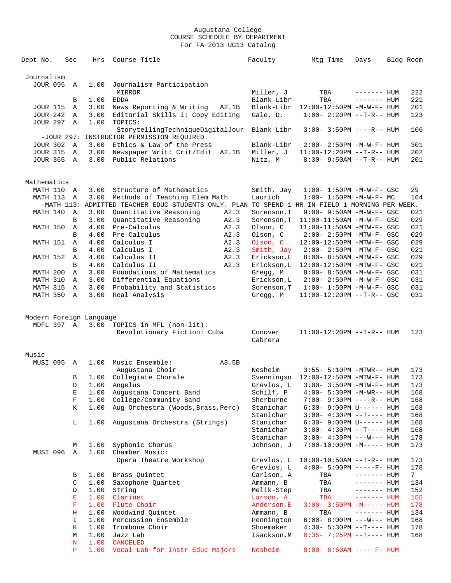| Dept No.                | Sec            | Hrs          | Course Title                                                                                    | Faculty                 | Mtg Time                             | Days         | Bldg Room      |
|-------------------------|----------------|--------------|-------------------------------------------------------------------------------------------------|-------------------------|--------------------------------------|--------------|----------------|
|                         |                |              |                                                                                                 |                         |                                      |              |                |
| Journalism              |                |              |                                                                                                 |                         |                                      |              |                |
| <b>JOUR 095</b>         | A              | 1.00         | Journalism Participation                                                                        |                         |                                      |              |                |
|                         |                |              | MIRROR                                                                                          | Miller, J               | TBA                                  | $------$ HUM | 222            |
|                         | В              | 1.00         | <b>EDDA</b>                                                                                     | Blank-Libr              | TBA                                  | $------$ HUM | 221            |
| <b>JOUR 115</b>         | A              |              | 3.00 News Reporting & Writing<br>A2.1B                                                          | Blank-Libr              | 12:00-12:50PM -M-W-F- HUM            |              | 201            |
| <b>JOUR 242</b>         | A              | 3.00         | Editorial Skills I: Copy Editing                                                                | Gale, D.                | $1:00 - 2:20PM -T-R--HUM$            |              | 123            |
| <b>JOUR 297 A</b>       |                | 1.00         | TOPICS:                                                                                         |                         |                                      |              |                |
|                         |                |              | StorytellingTechniqueDigitalJour                                                                | Blank-Libr              | $3:00 - 3:50PM$ ----R-- HUM          |              | 106            |
|                         |                |              | -JOUR 297: INSTRUCTOR PERMISSION REQUIRED.                                                      |                         |                                      |              |                |
| <b>JOUR 302 A</b>       |                | 3.00         | Ethics & Law of the Press                                                                       | Blank-Libr              | $2:00 - 2:50PM -M-W-F - HUM$         |              | 301            |
| JOUR 315 A              |                | 3.00         | Newspaper Writ: Crit/Edit A2.1B                                                                 | Miller, J               | $11:00-12:20PM$ --T-R-- HUM          |              | 202            |
| JOUR 365 A              |                |              | 3.00 Public Relations                                                                           | Nitz, M                 | $8:30 - 9:50AM -T-R - HUM$           |              | 201            |
|                         |                |              |                                                                                                 |                         |                                      |              |                |
|                         |                |              |                                                                                                 |                         |                                      |              |                |
| Mathematics             |                |              |                                                                                                 |                         |                                      |              |                |
| MATH 110 A              |                | 3.00         | Structure of Mathematics                                                                        | Smith, Jay              | $1:00 - 1:50PM - M - W - F - GSC$    |              | 29             |
| MATH 113 A              |                | 3.00         | Methods of Teaching Elem Math                                                                   | Laurich                 | $1:00-1:50PM -M-W-F-MC$              |              | 164            |
|                         |                |              | -MATH 113: ADMITTED TEACHER EDUC STUDENTS ONLY. PLAN TO SPEND 1 HR IN FIELD 1 MORNING PER WEEK. |                         |                                      |              |                |
| MATH 140 A              |                | 3.00         | Quantitative Reasoning<br>A2.3                                                                  | Sorenson, T             | 9:00- 9:50AM -M-W-F- GSC             |              | 021            |
|                         | B              | 3.00         | Quantitative Reasoning<br>A2.3                                                                  | Sorenson, T             | 11:00-11:50AM -M-W-F- GSC            |              | 029            |
| MATH 150                | A              | 4.00         | Pre-Calculus<br>A2.3                                                                            | Olson, C                | 11:00-11:50AM -MTW-F- GSC            |              | 021            |
|                         | B              | 4.00         | Pre-Calculus<br>A2.3                                                                            | Olson, C                | $2:00-2:50PM -MTW-F-GSC$             |              | 029            |
| MATH 151                | A              | 4.00         | Calculus I<br>A2.3                                                                              | Olson, C                | 12:00-12:50PM -MTW-F- GSC            |              | 029            |
|                         | В              | 4.00         | Calculus I<br>A2.3                                                                              | Smith, Jay              | 2:00- 2:50PM -MTW-F- GSC             |              | 021            |
| MATH 152                | A              | 4.00         | Calculus II<br>A2.3                                                                             | Erickson, L             | 8:00- 8:50AM -MTW-F- GSC             |              | 029            |
|                         | B              | 4.00         | Calculus II<br>A2.3                                                                             | Erickson, L             | 12:00-12:50PM -MTW-F- GSC            |              | 021            |
| MATH 200                | $\mathbb A$    | 3.00         | Foundations of Mathematics                                                                      | Gregg, M                | 8:00- 8:50AM -M-W-F- GSC             |              | 031            |
| MATH 310                | $\mathbb A$    | 3.00         | Differential Equations                                                                          | Erickson, L             | 2:00- 2:50PM -M-W-F- GSC             |              | 031            |
| MATH 315                | $\mathbf{A}$   | 3.00         | Probability and Statistics                                                                      | Sorenson, T             | $1:00 - 1:50PM - M - W - F - GSC$    |              | 031            |
| MATH 350                | $\overline{A}$ | 3.00         | Real Analysis                                                                                   | Gregg, M                | 11:00-12:20PM --T-R-- GSC            |              | 031            |
|                         |                |              |                                                                                                 |                         |                                      |              |                |
|                         |                |              |                                                                                                 |                         |                                      |              |                |
|                         |                |              |                                                                                                 |                         |                                      |              |                |
| Modern Foreign Language |                |              |                                                                                                 |                         |                                      |              |                |
| MDFL 397 A              |                |              | 3.00 TOPICS in MFL (non-lit):                                                                   |                         |                                      |              |                |
|                         |                |              | Revolutionary Fiction: Cuba                                                                     | Conover                 | $11:00-12:20PM$ --T-R-- HUM          |              | 123            |
|                         |                |              |                                                                                                 | Cabrera                 |                                      |              |                |
|                         |                |              |                                                                                                 |                         |                                      |              |                |
| Music                   |                |              |                                                                                                 |                         |                                      |              |                |
| MUSI 095 A              |                |              | 1.00 Music Ensemble:<br>A3.5B                                                                   |                         |                                      |              |                |
|                         |                |              | Augustana Choir                                                                                 | Nesheim                 | $3:55-5:10PM -MTWR--HUM$             |              | 173            |
|                         | В              |              | 1.00 Collegiate Chorale                                                                         |                         | Svenningsn 12:00-12:50PM -MTW-F- HUM |              | 173            |
|                         | D              |              | 1.00 Angelus                                                                                    |                         | Grevlos, L 3:00- 3:50PM -MTW-F- HUM  |              | 173            |
|                         | Е              |              | 1.00 Augustana Concert Band                                                                     | Schilf, P               | $4:00 - 5:30PM -M-WR-- HUM$          |              | 168            |
|                         | F              |              | 1.00 College/Community Band                                                                     | Sherburne               | $7:00 - 9:30PM$ ----R-- HUM          |              | 168            |
|                         | Κ              |              | 1.00 Aug Orchestra (Woods, Brass, Perc)                                                         | Stanichar               | $6:30-9:00PM$ U------ HUM            |              | 168            |
|                         |                |              |                                                                                                 | Stanichar               | $3:00 - 4:30PM -T--- HUM$            |              | 168            |
|                         | L              | 1.00         | Augustana Orchestra (Strings)                                                                   | Stanichar               | 6:30- 9:00PM U------ HUM             |              | 168            |
|                         |                |              |                                                                                                 | Stanichar               | $3:00-4:30PM -T--- HUM$              |              | 168            |
|                         |                |              |                                                                                                 | Stanichar               | $3:00-4:30PM$ ---W--- HUM            |              | 178            |
|                         | М              | 1.00         | Syphonic Chorus                                                                                 | Johnson, J              | 7:00-10:00PM -M----- HUM             |              | 173            |
| MUSI 096                | Α              | 1.00         | Chamber Music:                                                                                  |                         |                                      |              |                |
|                         |                |              | Opera Theatre Workshop                                                                          | Grevlos, L              | $10:00-10:50AM$ --T-R-- HUM          |              | 173            |
|                         |                |              |                                                                                                 | Grevlos, L              | $4:00 - 5:00PM$ -----F- HUM          | $------$ HUM | 178            |
|                         | в              |              | 1.00 Brass Quintet                                                                              | Carlson, A              | TBA<br>TBA                           | $------$ HUM | 7 <sup>7</sup> |
|                         | C              |              | 1.00 Saxophone Quartet                                                                          | Ammann, B               |                                      | $------$ HUM | 134            |
|                         | D<br>Е         | 1.00<br>1.00 | String                                                                                          | Melik-Step<br>Larson, A | TBA<br>TBA                           | $------$ HUM | 152            |
|                         | $\mathbf F$    | 1.00         | Clarinet<br>Flute Choir                                                                         | Anderson, E             | $3:00 - 3:50PM -M-----$ HUM          |              | 155<br>178     |
|                         | Η              | 1.00         | Woodwind Quintet                                                                                | Ammann, B               | TBA                                  | $------$ HUM | 134            |
|                         | Ι              | 1.00         | Percussion Ensemble                                                                             | Pennington              | $6:00-8:00PM$ ---W--- HUM            |              | 168            |
|                         | Κ              | 1.00         | Trombone Choir                                                                                  | Shoemaker               | $4:30 - 5:30PM -T--- HUM$            |              | 178            |
|                         | Μ              | 1.00         | Jazz Lab                                                                                        | Isackson, M             | $6:35 - 7:25PM -T---- HUM$           |              | 168            |
|                         | N              | 1.00         | <b>CANCELED</b>                                                                                 |                         |                                      |              |                |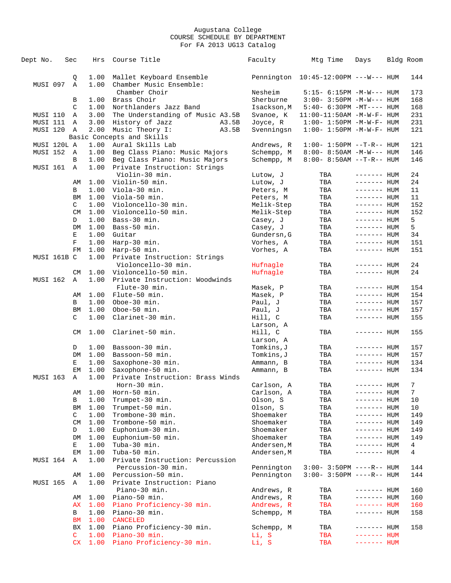| Dept No.    | Sec         | Hrs          | Course Title                                  |       | Faculty                | Mtg Time                              | Days                       | Bldg Room |                |
|-------------|-------------|--------------|-----------------------------------------------|-------|------------------------|---------------------------------------|----------------------------|-----------|----------------|
|             | Q           | 1.00         | Mallet Keyboard Ensemble                      |       |                        | Pennington  10:45-12:00PM ---W--- HUM |                            |           | 144            |
| MUSI 097    | A           |              | 1.00 Chamber Music Ensemble:<br>Chamber Choir |       | Nesheim                |                                       |                            |           | 173            |
|             |             |              |                                               |       |                        | $5:15-6:15PM -M-W--- HUM$             |                            |           |                |
|             | В           | 1.00         | Brass Choir                                   |       | Sherburne              | $3:00 - 3:50PM -M-W---$ HUM           |                            |           | 168            |
|             | C           |              | 1.00 Northlanders Jazz Band                   |       | Isackson, M            | $5:40-6:30PM -MT--- HUM$              |                            |           | 168            |
| MUSI 110    | A           | 3.00         | The Understanding of Music A3.5B              |       | Svanoe, K              | $11:00-11:50AM$ -M-W-F- HUM           |                            |           | 231            |
| MUSI 111    | A           | 3.00         | History of Jazz                               | A3.5B | Joyce, R               | $1:00 - 1:50PM -M-W-F - HUM$          |                            |           | 231            |
| MUSI 120 A  |             | 2.00         | Music Theory I:                               | A3.5B | Svenningsn             | $1:00 - 1:50PM -M -W -F - HUM$        |                            |           | 121            |
|             |             |              | Basic Concepts and Skills                     |       |                        |                                       |                            |           |                |
| MUSI 120L A |             | 1.00         | Aural Skills Lab                              |       | Andrews, R             | $1:00 - 1:50PM -T-R--HUM$             |                            |           | 121            |
| MUSI 152 A  |             | 1.00         | Beg Class Piano: Music Majors                 |       | Schempp, M             | $8:00 - 8:50AM - M-W--- HUM$          |                            |           | 146            |
|             | B           |              | 1.00 Beg Class Piano: Music Majors            |       | Schempp, M             | $8:00 - 8:50AM$ --T-R-- HUM           |                            |           | 146            |
| MUSI 161 A  |             |              | 1.00 Private Instruction: Strings             |       |                        |                                       |                            |           |                |
|             |             |              | Violin-30 min.                                |       | Lutow, J               | TBA                                   | ------- HUM                |           | 24             |
|             | AΜ          |              | 1.00 Violin-50 min.                           |       | Lutow, J               | TBA                                   | ------- HUM                |           | 24             |
|             | В           |              | $1.00$ Viola-30 min.                          |       | Peters, M              | TBA                                   | ------- HUM                |           | 11             |
|             | BM          |              | 1.00 Viola-50 min.                            |       | Peters, M              | TBA                                   | ------- HUM                |           | 11             |
|             | C           |              | 1.00 Violoncello-30 min.                      |       | Melik-Step             | TBA                                   | ------- HUM                |           | 152            |
|             | CM          |              | 1.00 Violoncello-50 min.                      |       | Melik-Step             | TBA                                   | $------$ HUM               |           | 152            |
|             | D           | 1.00         | Bass-30 min.                                  |       | Casey, J               | TBA                                   | ------- HUM                |           | 5              |
|             | DM          | 1.00         | Bass-50 min.                                  |       | Casey, J               | TBA                                   | ------- HUM                |           | 5              |
|             | E           | 1.00         | Guitar                                        |       | Gundersn, G            | TBA                                   | ------- HUM                |           | 34             |
|             | $\mathbf F$ | 1.00         | Harp-30 min.                                  |       | Vorhes, A              | TBA                                   | $------$ HUM               |           | 151            |
|             | FM          | 1.00         | Harp-50 min.                                  |       | Vorhes, A              | TBA                                   | ------- HUM                |           | 151            |
| MUSI 161B C |             |              | 1.00 Private Instruction: Strings             |       |                        |                                       |                            |           |                |
|             |             |              | Violoncello-30 min.                           |       | Hufnagle               | TBA                                   | ------- HUM                |           | 24             |
|             | CМ          | 1.00         | Violoncello-50 min.                           |       | Hufnagle               | TBA                                   | $------$ HUM               |           | 24             |
| MUSI 162    | A           | 1.00         | Private Instruction: Woodwinds                |       |                        |                                       |                            |           |                |
|             |             |              | Flute-30 min.                                 |       | Masek, P               | TBA                                   | ------- HUM                |           | 154            |
|             | AΜ          |              | $1.00$ Flute-50 min.                          |       | Masek, P               | TBA                                   | ------- HUM                |           | 154            |
|             | В           | 1.00         | Oboe-30 min.                                  |       | Paul, J                | TBA                                   | ------- HUM                |           | 157            |
|             | BM          |              | 1.00 Oboe-50 min.                             |       | Paul, J                | TBA                                   | ------- HUM                |           | 157            |
|             | C           | 1.00         | Clarinet-30 min.                              |       | Hill, C                | TBA                                   | ------- HUM                |           | 155            |
|             |             |              |                                               |       | Larson, A              |                                       |                            |           |                |
|             | CM          |              | 1.00 Clarinet-50 min.                         |       | Hill, C                | TBA                                   | ------- HUM                |           | 155            |
|             |             |              |                                               |       | Larson, A              |                                       |                            |           |                |
|             |             | 1.00         | Bassoon-30 min.                               |       | Tomkins, J             |                                       |                            |           | 157            |
|             | D<br>DM     | 1.00         | Bassoon-50 min.                               |       | Tomkins, J             | TBA<br>TBA                            | ------- HUM<br>------- HUM |           | 157            |
|             | Е           | 1.00         |                                               |       |                        | TBA                                   | ------- HUM                |           | 134            |
|             | EМ          | 1.00         | Saxophone-30 min.<br>Saxophone-50 min.        |       | Ammann, B<br>Ammann, B | TBA                                   | ------- HUM                |           | 134            |
| MUSI 163 A  |             | 1.00         | Private Instruction: Brass Winds              |       |                        |                                       |                            |           |                |
|             |             |              | Horn-30 min.                                  |       | Carlson, A             |                                       |                            |           | $7\phantom{.}$ |
|             |             |              | Horn-50 min.                                  |       |                        | TBA                                   | ------- HUM                |           | 7              |
|             | AΜ          | 1.00<br>1.00 | Trumpet-30 min.                               |       | Carlson, A             | TBA                                   | $------$ HUM               |           |                |
|             | В           |              |                                               |       | Olson, S               | TBA                                   | $------$ HUM               |           | 10             |
|             | ΒM          | 1.00         | Trumpet-50 min.                               |       | Olson, S               | TBA                                   | ------- HUM                |           | 10             |
|             | C           | 1.00         | Trombone-30 min.                              |       | Shoemaker              | TBA                                   | ------- HUM                |           | 149            |
|             | CM          | 1.00         | Trombone-50 min.                              |       | Shoemaker              | TBA                                   | ------- HUM                |           | 149            |
|             | D           | 1.00         | Euphonium-30 min.                             |       | Shoemaker              | TBA                                   | $------$ HUM               |           | 149            |
|             | DM          | 1.00         | Euphonium-50 min.                             |       | Shoemaker              | TBA                                   | $------$ HUM               |           | 149            |
|             | Е           | 1.00         | Tuba-30 min.                                  |       | Andersen, M            | TBA                                   | ------- HUM                |           | 4              |
|             | EМ          | 1.00         | Tuba-50 min.                                  |       | Andersen, M            | TBA                                   | $------$ HUM               |           | 4              |
| MUSI 164    | Α           | 1.00         | Private Instruction: Percussion               |       |                        |                                       |                            |           |                |
|             |             |              | Percussion-30 min.                            |       | Pennington             | $3:00 - 3:50PM$ ----R-- HUM           |                            |           | 144            |
|             | AΜ          | 1.00         | Percussion-50 min.                            |       | Pennington             | $3:00-3:50PM$ ----R-- HUM             |                            |           | 144            |
| MUSI 165    | Α           |              | 1.00 Private Instruction: Piano               |       |                        |                                       |                            |           |                |
|             |             |              | Piano-30 min.                                 |       | Andrews, R             | TBA                                   | ------- HUM                |           | 160            |
|             | AΜ          | 1.00         | Piano-50 min.                                 |       | Andrews, R             | TBA                                   | $------$ HUM               |           | 160            |
|             | АX          |              | 1.00 Piano Proficiency-30 min.                |       | Andrews, R             | TBA                                   | $------$ HUM               |           | 160            |
|             | В           | 1.00         | Piano-30 min.                                 |       | Schempp, M             | TBA                                   | ------- HUM                |           | 158            |
|             | ΒM          | 1.00         | <b>CANCELED</b>                               |       |                        |                                       |                            |           |                |
|             | ВX          |              | 1.00 Piano Proficiency-30 min.                |       | Schempp, M             | TBA                                   | ------- HUM                |           | 158            |
|             | C           |              | $1.00$ Piano-30 min.                          |       | Li, S                  | TBA                                   | $------$ HUM               |           |                |
|             |             |              | CX 1.00 Piano Proficiency-30 min.             |       | Li, S                  | TBA                                   | ------- HUM                |           |                |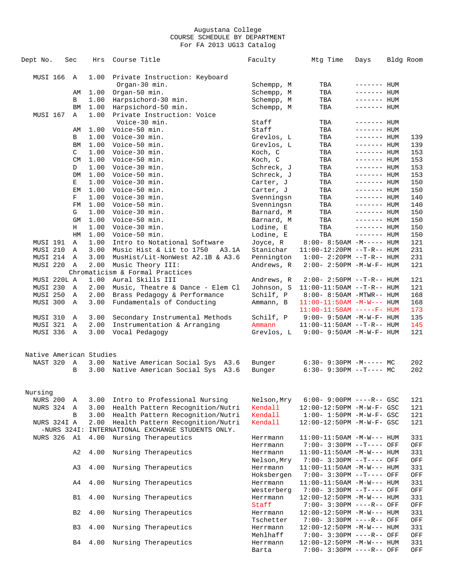| Dept No.                | Sec            | Hrs          | Course Title                                      | Faculty                 | Mtg Time                                                | Days                        | Bldg Room  |
|-------------------------|----------------|--------------|---------------------------------------------------|-------------------------|---------------------------------------------------------|-----------------------------|------------|
|                         |                |              |                                                   |                         |                                                         |                             |            |
| MUSI 166                | A              | 1.00         | Private Instruction: Keyboard                     |                         |                                                         |                             |            |
|                         |                |              | Organ-30 min.                                     | Schempp, M              | TBA                                                     | ------- HUM                 |            |
|                         | AΜ             | 1.00         | Organ-50 min.                                     | Schempp, M              | TBA                                                     | ------- HUM                 |            |
|                         | В              | 1.00         | Harpsichord-30 min.                               | Schempp, M              | TBA                                                     | ------- HUM                 |            |
|                         | ΒM             | 1.00         | Harpsichord-50 min.                               | Schempp, M              | TBA                                                     | ------- HUM                 |            |
| MUSI 167                | Α              | 1.00         | Private Instruction: Voice                        |                         |                                                         |                             |            |
|                         |                |              | Voice-30 min.                                     | Staff                   | TBA                                                     | $------$ HUM                |            |
|                         | AΜ             | 1.00         | Voice-50 min.                                     | Staff                   | TBA                                                     | ------- HUM                 |            |
|                         | В              | 1.00         | Voice-30 min.                                     | Grevlos, L              | TBA                                                     | $------$ HUM                | 139        |
|                         | ΒM             | 1.00         | Voice-50 min.                                     | Grevlos, L              | TBA                                                     | ------- HUM                 | 139        |
|                         | C              | 1.00         | Voice-30 min.                                     | Koch, C                 | TBA                                                     | $------$ HUM                | 153        |
|                         | <b>CM</b>      | 1.00         | Voice-50 min.                                     | Koch, C                 | TBA                                                     | $------$ HUM                | 153        |
|                         | D<br>DM        | 1.00<br>1.00 | Voice-30 min.                                     | Schreck, J              | TBA                                                     | ------- HUM<br>$------$ HUM | 153<br>153 |
|                         | Е              | 1.00         | Voice-50 min.<br>Voice-30 min.                    | Schreck, J<br>Carter, J | TBA<br>TBA                                              | ------- HUM                 | 150        |
|                         | EМ             | 1.00         | Voice-50 min.                                     | Carter, J               | TBA                                                     | $------$ HUM                | 150        |
|                         | $\mathbf F$    | 1.00         | Voice-30 min.                                     | Svenningsn              | TBA                                                     | $------HH$                  | 140        |
|                         | FM             | 1.00         | Voice-50 min.                                     | Svenningsn              | TBA                                                     | $------$ HUM                | 140        |
|                         | G              | 1.00         | Voice-30 min.                                     | Barnard, M              | TBA                                                     | ------- HUM                 | 150        |
|                         | GM             | 1.00         | Voice-50 min.                                     | Barnard, M              | TBA                                                     | $------$ HUM                | 150        |
|                         | Н              | 1.00         | Voice-30 min.                                     | Lodine, E               | TBA                                                     | $------$ HUM                | 150        |
|                         | HM             | 1.00         | Voice-50 min.                                     | Lodine, E               | TBA                                                     | $------$ HUM                | 150        |
| MUSI 191                | Α              | 1.00         | Intro to Notational Software                      | Joyce, R                | $8:00 - 8:50AM - M---$ HUM                              |                             | 121        |
| MUSI 210                | A              | 3.00         | Music Hist & Lit to 1750<br>A3.1A                 | Stanichar               | $11:00-12:20PM$ --T-R-- HUM                             |                             | 231        |
| MUSI 214                | Α              | 3.00         | MusHist/Lit-NonWest A2.1B & A3.6                  | Pennington              | $1:00 - 2:20PM -T-R--HUM$                               |                             | 231        |
| MUSI 220                | Α              | 2.00         | Music Theory III:                                 | Andrews, R              | 2:00- 2:50PM -M-W-F- HUM                                |                             | 121        |
|                         |                |              | Chromaticism & Formal Practices                   |                         |                                                         |                             |            |
| MUSI 220L A             |                | 1.00         | Aural Skills III                                  | Andrews, R              | $2:00-2:50PM -T-R--HUM$                                 |                             | 121        |
| MUSI 230                | Α              | 2.00         | Music, Theatre & Dance - Elem Cl                  | Johnson, S              | $11:00-11:50AM$ --T-R-- HUM                             |                             | 121        |
| MUSI 250                | Α              | 2.00         | Brass Pedagogy & Performance                      | Schilf, P               | 8:00- 8:50AM -MTWR-- HUM                                |                             | 168        |
| MUSI 300                | A              | 3.00         | Fundamentals of Conducting                        | Ammann, B               | $11:00-11:50AM$ -M-W--- HUM                             |                             | 168        |
|                         |                |              |                                                   |                         | $11:00-11:50AM$ -----F- HUM                             |                             | 173        |
| MUSI 310                | Α              | 3.00         | Secondary Instrumental Methods                    | Schilf, P               | $9:00 - 9:50AM - M - W - F - HUM$                       |                             | 135        |
| MUSI 321                | Α              | 2.00         | Instrumentation & Arranging                       | Ammann                  | $11:00-11:50AM$ --T-R-- HUM                             |                             | 145        |
| MUSI 336 A              |                | 3.00         | Vocal Pedagogy                                    | Grevlos, L              | $9:00 - 9:50AM - M - W - F - HUM$                       |                             | 121        |
|                         |                |              |                                                   |                         |                                                         |                             |            |
| Native American Studies |                |              |                                                   |                         |                                                         |                             |            |
| NAST 320                | Α              | 3.00         | Native American Social Sys A3.6                   | Bunger                  | $6:30-9:30PM -M--- MC$                                  |                             | 202        |
|                         | B              | 3.00         | Native American Social Sys A3.6                   | Bunger                  | $6:30-9:30PM --T---MC$                                  |                             | 202        |
|                         |                |              |                                                   |                         |                                                         |                             |            |
|                         |                |              |                                                   |                         |                                                         |                             |            |
| Nursing                 |                |              |                                                   |                         |                                                         |                             |            |
| <b>NURS 200</b>         | Α              | 3.00         | Intro to Professional Nursing                     | Nelson, Mry             | $6:00 - 9:00PM$ ----R-- GSC                             |                             | 121        |
| NURS 324                | Α              | 3.00         | Health Pattern Recognition/Nutri                  | Kendall                 | 12:00-12:50PM -M-W-F- GSC                               |                             | 121        |
|                         | B              | 3.00         | Health Pattern Recognition/Nutri                  | Kendall                 | $1:00 - 1:50PM - M - W - F - GSC$                       |                             | 121        |
| NURS 324I A             |                | 2.00         | Health Pattern Recognition/Nutri                  | Kendall                 | 12:00-12:50PM -M-W-F- GSC                               |                             | 121        |
|                         |                |              | -NURS 324I: INTERNATIONAL EXCHANGE STUDENTS ONLY. |                         |                                                         |                             |            |
| NURS 326                | A1             | 4.00         | Nursing Therapeutics                              | Herrmann                | $11:00-11:50AM$ -M-W--- HUM                             |                             | 331        |
|                         |                |              |                                                   | Herrmann                | 7:00- 3:30PM --T---- OFF                                |                             | OFF        |
|                         | A <sub>2</sub> | 4.00         | Nursing Therapeutics                              | Herrmann                | $11:00-11:50AM$ -M-W--- HUM                             |                             | 331        |
|                         |                |              |                                                   | Nelson, Mry             | 7:00- 3:30PM --T---- OFF                                |                             | OFF        |
|                         | A <sub>3</sub> | 4.00         | Nursing Therapeutics                              | Herrmann                | $11:00-11:50AM -M-W---$ HUM                             |                             | 331        |
|                         |                |              |                                                   | Hoksbergen              | 7:00- 3:30PM --T---- OFF                                |                             | OFF        |
|                         | A4             | 4.00         | Nursing Therapeutics                              | Herrmann                | $11:00-11:50AM$ -M-W--- HUM                             |                             | 331        |
|                         |                |              |                                                   | Westerberg              | 7:00- 3:30PM --T---- OFF                                |                             | OFF        |
|                         | <b>B1</b>      | 4.00         | Nursing Therapeutics                              | Herrmann<br>Staff       | $12:00-12:50PM -M-W---$ HUM                             |                             | 331        |
|                         | B <sub>2</sub> | 4.00         | Nursing Therapeutics                              |                         | 7:00- 3:30PM ----R-- OFF<br>$12:00-12:50PM -M-W---$ HUM |                             | OFF<br>331 |
|                         |                |              |                                                   | Herrmann<br>Tschetter   |                                                         |                             | OFF        |
|                         | B <sub>3</sub> | 4.00         | Nursing Therapeutics                              | Herrmann                | 7:00- 3:30PM ----R-- OFF<br>$12:00-12:50PM -M-W---$ HUM |                             | 331        |
|                         |                |              |                                                   | Mehlhaff                | 7:00- 3:30PM ----R-- OFF                                |                             | OFF        |
|                         | B4             | 4.00         | Nursing Therapeutics                              | Herrmann                | $12:00-12:50PM -M-W---$ HUM                             |                             | 331        |
|                         |                |              |                                                   | Barta                   | 7:00- 3:30PM ----R-- OFF                                |                             | OFF        |
|                         |                |              |                                                   |                         |                                                         |                             |            |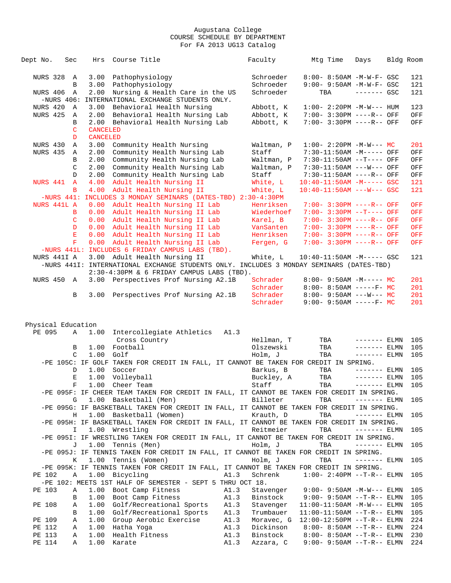| Dept No.           | Sec              | Hrs             | Course Title                                                                               |      | Faculty                 | Mtq Time                                             | Days                          | Bldg Room |            |
|--------------------|------------------|-----------------|--------------------------------------------------------------------------------------------|------|-------------------------|------------------------------------------------------|-------------------------------|-----------|------------|
|                    |                  |                 |                                                                                            |      |                         |                                                      |                               |           |            |
| <b>NURS 328 A</b>  |                  |                 | 3.00 Pathophysiology                                                                       |      | Schroeder               | 8:00- 8:50AM -M-W-F- GSC                             |                               |           | 121        |
|                    | B<br>$\mathbb A$ | 2.00            | 3.00 Pathophysiology                                                                       |      | Schroeder<br>Schroeder  | 9:00- 9:50AM -M-W-F- GSC<br>TBA                      | $------$ GSC                  |           | 121<br>121 |
| NURS 406           | $-NURS$ 406:     |                 | Nursing & Health Care in the US<br>INTERNATIONAL EXCHANGE STUDENTS ONLY.                   |      |                         |                                                      |                               |           |            |
| NURS 420           | A                | 3.00            | Behavioral Health Nursing                                                                  |      | Abbott, K               | $1:00 - 2:20PM -M-W---$ HUM                          |                               |           | 123        |
| <b>NURS 425</b>    | Α                | 2.00            | Behavioral Health Nursing Lab                                                              |      | Abbott, K               | 7:00- 3:30PM ----R-- OFF                             |                               |           | OFF        |
|                    | В                | 2.00            | Behavioral Health Nursing Lab                                                              |      | Abbott, K               | 7:00- 3:30PM ----R-- OFF                             |                               |           | OFF        |
|                    | C                | <b>CANCELED</b> |                                                                                            |      |                         |                                                      |                               |           |            |
|                    | D                | <b>CANCELED</b> |                                                                                            |      |                         |                                                      |                               |           |            |
| NURS 430           | Α                | 3.00            | Community Health Nursing                                                                   |      | Waltman, P              | $1:00-2:20PM -M-W--- MC$                             |                               |           | 201        |
| NURS 435           | A                | 2.00            | Community Health Nursing Lab                                                               |      | Staff                   | 7:30-11:50AM -M----- OFF                             |                               |           | OFF        |
|                    | B                | 2.00            | Community Health Nursing Lab                                                               |      | Waltman, P              | $7:30-11:50AM$ --T---- OFF                           |                               |           | OFF        |
|                    | C                | 2.00            | Community Health Nursing Lab                                                               |      | Waltman, P              | 7:30-11:50AM ---W--- OFF                             |                               |           | OFF        |
|                    | D                | 2.00            | Community Health Nursing Lab                                                               |      | Staff                   | 7:30-11:50AM ----R-- OFF                             |                               |           | OFF        |
| NURS 441           | $\mathbf{A}$     | 4.00            | Adult Health Nursing II                                                                    |      | White, L                | $10:40-11:50AM$ -M----- GSC                          |                               |           | 121        |
|                    | B                | 4.00            | Adult Health Nursing II                                                                    |      | White, L                | $10:40-11:50AM$ ---W--- GSC                          |                               |           | 121        |
|                    | $-NURS$ 441:     |                 | INCLUDES 3 MONDAY SEMINARS (DATES-TBD) 2:30-4:30PM                                         |      |                         |                                                      |                               |           |            |
| NURS 441L A        |                  | 0.00            | Adult Health Nursing II Lab                                                                |      | Henriksen               | $7:00 - 3:30PM$ ----R-- OFF                          |                               |           | OFF        |
|                    | B                |                 | 0.00 Adult Health Nursing II Lab                                                           |      | Wiederhoef              | $7:00 - 3:30PM -T---$ OFF                            |                               |           | OFF        |
|                    | C                |                 | 0.00 Adult Health Nursing II Lab<br>0.00 Adult Health Nursing II Lab                       |      | Karel, B                | 7:00- 3:30PM ----R-- OFF<br>7:00- 3:30PM ----R-- OFF |                               |           | OFF        |
|                    | D<br>E           |                 | 0.00 Adult Health Nursing II Lab                                                           |      | VanSanten<br>Henriksen  | 7:00- 3:30PM ----R-- OFF                             |                               |           | OFF<br>OFF |
|                    | $\mathbf F$      |                 | 0.00 Adult Health Nursing II Lab                                                           |      | Fergen, G               | 7:00- 3:30PM ----R-- OFF                             |                               |           | OFF        |
|                    |                  |                 | -NURS 441L: INCLUDES 6 FRIDAY CAMPUS LABS (TBD).                                           |      |                         |                                                      |                               |           |            |
| NURS 441I A        |                  |                 | 3.00 Adult Health Nursing II                                                               |      | White, L                | 10:40-11:50AM -M----- GSC                            |                               |           | 121        |
|                    |                  |                 | -NURS 441I: INTERNATIONAL EXCHANGE STUDENTS ONLY. INCLUDES 3 MONDAY SEMINARS (DATES-TBD)   |      |                         |                                                      |                               |           |            |
|                    |                  |                 | 2:30-4:30PM & 6 FRIDAY CAMPUS LABS (TBD).                                                  |      |                         |                                                      |                               |           |            |
| NURS 450           | A                |                 | 3.00 Perspectives Prof Nursing A2.1B                                                       |      | Schrader                | $8:00 - 9:50AM - M--- - M$                           |                               |           | 201        |
|                    |                  |                 |                                                                                            |      | Schrader                | $8:00 - 8:50AM$ -----F- MC                           |                               |           | 201        |
|                    | В                | 3.00            | Perspectives Prof Nursing A2.1B                                                            |      | Schrader                | $8:00 - 9:50AM$ ---W--- MC                           |                               |           | 201        |
|                    |                  |                 |                                                                                            |      | Schrader                | $9:00 - 9:50AM$ -----F- MC                           |                               |           | 201        |
|                    |                  |                 |                                                                                            |      |                         |                                                      |                               |           |            |
|                    |                  |                 |                                                                                            |      |                         |                                                      |                               |           |            |
| Physical Education |                  |                 |                                                                                            |      |                         |                                                      |                               |           |            |
| PE 095             | $\mathbb{A}$     | 1.00            | Intercollegiate Athletics                                                                  | A1.3 |                         |                                                      |                               |           |            |
|                    |                  |                 | Cross Country                                                                              |      | Hellman, T<br>Olszewski | TBA                                                  | ------- ELMN                  |           | 105        |
|                    | B<br>C           | 1.00<br>1.00    | Football<br>Golf                                                                           |      | Holm, J                 | TBA<br>TBA                                           | $------$ ELMN<br>$------ELMN$ |           | 105<br>105 |
|                    |                  |                 | -PE 105C: IF GOLF TAKEN FOR CREDIT IN FALL, IT CANNOT BE TAKEN FOR CREDIT IN SPRING.       |      |                         |                                                      |                               |           |            |
|                    | D                | 1.00            | Soccer                                                                                     |      | Barkus, B               | TBA                                                  | $------ELMN$                  |           | 105        |
|                    | Е                |                 | 1.00 Volleyball                                                                            |      | Buckley, A              | TBA                                                  | $------$ ELMN                 |           | 105        |
|                    |                  |                 | F 1.00 Cheer Team                                                                          |      | Staff                   | TBA                                                  | $------ELMN 105$              |           |            |
|                    |                  |                 | -PE 095F: IF CHEER TEAM TAKEN FOR CREDIT IN FALL, IT CANNOT BE TAKEN FOR CREDIT IN SPRING. |      |                         |                                                      |                               |           |            |
|                    | G                |                 | 1.00 Basketball (Men)                                                                      |      | Billeter                | TBA                                                  | $------ELMN$                  |           | 105        |
|                    |                  |                 | -PE 095G: IF BASKETBALL TAKEN FOR CREDIT IN FALL, IT CANNOT BE TAKEN FOR CREDIT IN SPRING. |      |                         |                                                      |                               |           |            |
|                    | Н                |                 | 1.00 Basketball (Women)                                                                    |      | Krauth, D               | TBA                                                  | $------$ ELMN                 |           | 105        |
|                    |                  |                 | -PE 095H: IF BASKETBALL TAKEN FOR CREDIT IN FALL, IT CANNOT BE TAKEN FOR CREDIT IN SPRING. |      |                         |                                                      |                               |           |            |
|                    | $\mathbf{I}$     |                 | 1.00 Wrestling                                                                             |      | Reitmeier               | TBA                                                  | $------ELMN$                  |           | 105        |
|                    |                  |                 | -PE 095I: IF WRESTLING TAKEN FOR CREDIT IN FALL, IT CANNOT BE TAKEN FOR CREDIT IN SPRING.  |      |                         |                                                      |                               |           |            |
|                    | J                |                 | 1.00 Tennis (Men)                                                                          |      | Holm, J                 | TBA                                                  | $------$ ELMN                 |           | 105        |
|                    |                  |                 | -PE 095J: IF TENNIS TAKEN FOR CREDIT IN FALL, IT CANNOT BE TAKEN FOR CREDIT IN SPRING.     |      |                         |                                                      |                               |           |            |
|                    | K                |                 | 1.00 Tennis (Women)                                                                        |      | Holm, J                 | TBA                                                  | $------$ ELMN                 |           | 105        |
|                    |                  |                 | -PE 095K: IF TENNIS TAKEN FOR CREDIT IN FALL, IT CANNOT BE TAKEN FOR CREDIT IN SPRING.     | A1.3 |                         |                                                      |                               |           |            |
| PE 102             | Α                |                 | 1.00 Bicycling<br>-PE 102: MEETS 1ST HALF OF SEMESTER - SEPT 5 THRU OCT 18.                |      | Schrenk                 | $1:00 - 2:40PM -T-R-- ELMN$                          |                               |           | 105        |
| PE 103             | Α                |                 | 1.00 Boot Camp Fitness                                                                     | A1.3 | Stavenger               | $9:00 - 9:50AM - M-W---$ ELMN                        |                               |           | 105        |
|                    | В                |                 | 1.00 Boot Camp Fitness                                                                     | A1.3 | Binstock                | $9:00 - 9:50AM -T-R--ELMN$                           |                               |           | 105        |
| PE 108             | Α                |                 | 1.00 Golf/Recreational Sports                                                              | A1.3 | Stavenger               | $11:00-11:50AM$ $-M-W---$ ELMN                       |                               |           | 105        |
|                    | В                |                 | 1.00 Golf/Recreational Sports                                                              | A1.3 | Trumbauer               | $11:00-11:50AM$ --T-R-- ELMN                         |                               |           | 105        |
| PE 109             | Α                | 1.00            | Group Aerobic Exercise                                                                     | A1.3 | Moravec, G              | $12:00-12:50PM$ --T-R-- ELMN                         |                               |           | 224        |
| PE 112             | Α                |                 | 1.00 Hatha Yoga                                                                            | A1.3 | Dickinson               | $8:00 - 8:50AM$ --T-R-- ELMN                         |                               |           | 224        |
| PE 113             | Α                | 1.00            | Health Fitness                                                                             | A1.3 | Binstock                | $8:00 - 8:50AM$ --T-R-- ELMN                         |                               |           | 230        |
| PE 114             | Α                | 1.00            | Karate                                                                                     | A1.3 | Azzara, C               | $9:00 - 9:50AM -T-R--ELMN$                           |                               |           | 224        |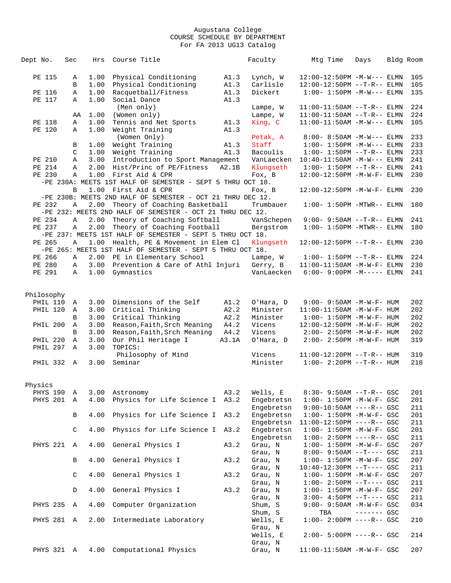| Dept No.        | Sec |              | Hrs  | Course Title                                               |       | Faculty    | Mtg Time                          | Days        | Bldg Room |
|-----------------|-----|--------------|------|------------------------------------------------------------|-------|------------|-----------------------------------|-------------|-----------|
|                 |     |              |      |                                                            |       |            |                                   |             |           |
| PE 115          |     | Α            | 1.00 | Physical Conditioning                                      | A1.3  | Lynch, W   | $12:00-12:50PM -M-W---$ ELMN      |             | 105       |
|                 |     | B            | 1.00 | Physical Conditioning                                      | A1.3  | Carlisle   | 12:00-12:50PM --T-R-- ELMN        |             | 105       |
| PE 116          |     | Α            | 1.00 | Racquetball/Fitness                                        | A1.3  | Dickert    | $1:00 - 1:50PM -M-W---$ ELMN      |             | 135       |
| PE 117          |     | Α            | 1.00 | Social Dance                                               | A1.3  |            |                                   |             |           |
|                 |     |              |      | (Men only)                                                 |       | Lampe, W   | $11:00-11:50AM$ --T-R-- ELMN      |             | 224       |
|                 |     | AA           | 1.00 | (Women only)                                               |       | Lampe, W   | $11:00-11:50AM$ --T-R-- ELMN      |             | 224       |
| PE 118          |     | Α            | 1.00 | Tennis and Net Sports                                      | A1.3  | King, C    | $11:00-11:50AM -M-W---$ ELMN      |             | 105       |
| PE 120          |     | Α            | 1.00 | Weight Training                                            | A1.3  |            |                                   |             |           |
|                 |     |              |      | (Women Only)                                               |       | Petak, A   | 8:00- 8:50AM -M-W--- ELMN         |             | 233       |
|                 |     | В            | 1.00 | Weight Training                                            | A1.3  | Staff      | $1:00 - 1:50PM -M-W---$ ELMN      |             | 233       |
|                 |     | C            | 1.00 | Weight Training                                            | A1.3  | Bacoulis   | $1:00 - 1:50PM -T-R-- ELMN$       |             | 233       |
| PE 210          |     | Α            | 3.00 | Introduction to Sport Management                           |       | VanLaecken | $10:40-11:50AM$ $-M-W---$ ELMN    |             | 241       |
| PE 214          |     | Α            | 2.00 | Hist/Princ of PE/Fitness                                   | A2.1B | Klungseth  | $1:00 - 1:50PM -T-R-- ELMN$       |             | 241       |
| PE 230          |     | Α            |      | 1.00 First Aid & CPR                                       |       | Fox, B     | 12:00-12:50PM -M-W-F- ELMN        |             | 230       |
|                 |     |              |      | -PE 230A: MEETS 1ST HALF OF SEMESTER - SEPT 5 THRU OCT 18. |       |            |                                   |             |           |
|                 |     | B            |      | 1.00 First Aid & CPR                                       |       | Fox, B     | 12:00-12:50PM -M-W-F- ELMN        |             | 230       |
|                 |     |              |      | -PE 230B: MEETS 2ND HALF OF SEMESTER - OCT 21 THRU DEC 12. |       |            |                                   |             |           |
| PE 232          |     | A            | 2.00 | Theory of Coaching Basketball                              |       | Trumbauer  | $1:00-1:50PM -MTWR--ELMN$         |             | 180       |
|                 |     |              |      | -PE 232: MEETS 2ND HALF OF SEMESTER - OCT 21 THRU DEC 12.  |       |            |                                   |             |           |
| PE 234          |     | $\mathbb{A}$ | 2.00 | Theory of Coaching Softball                                |       | VanSchepen | $9:00 - 9:50AM$ --T-R-- ELMN      |             | 241       |
| PE 237          |     | Α            | 2.00 | Theory of Coaching Football                                |       | Bergstrom  | $1:00-1:50PM -MTWR--ELMN$         |             | 180       |
|                 |     |              |      | -PE 237: MEETS 1ST HALF OF SEMESTER - SEPT 5 THRU OCT 18.  |       |            |                                   |             |           |
| PE 265          |     | Α            |      | 1.00 Health, PE & Movement in Elem Cl                      |       | Klungseth  | 12:00-12:50PM --T-R-- ELMN        |             | 230       |
|                 |     |              |      | -PE 265: MEETS 1ST HALF OF SEMESTER - SEPT 5 THRU OCT 18.  |       |            |                                   |             |           |
| PE 266          |     | A            |      | 2.00 PE in Elementary School                               |       | Lampe, W   | $1:00 - 1:50PM -T-R-- ELMN$       |             | 224       |
| PE 280          |     | A            | 3.00 | Prevention & Care of Athl Injuri                           |       | Gerry, B   | 11:00-11:50AM -M-W-F- ELMN        |             | 230       |
| PE 291          |     | A            | 1.00 | Gymnastics                                                 |       | VanLaecken | $6:00-9:00PM -M-----$ ELMN        |             | 241       |
|                 |     |              |      |                                                            |       |            |                                   |             |           |
|                 |     |              |      |                                                            |       |            |                                   |             |           |
| Philosophy      |     |              |      |                                                            |       |            |                                   |             |           |
| PHIL 110        |     | Α            | 3.00 | Dimensions of the Self                                     | A1.2  | O'Hara, D  | 9:00- 9:50AM -M-W-F- HUM          |             | 202       |
| PHIL 120        |     | Α            | 3.00 | Critical Thinking                                          | A2.2  | Minister   | 11:00-11:50AM -M-W-F- HUM         |             | 202       |
|                 |     | B            | 3.00 | Critical Thinking                                          | A2.2  | Minister   | $1:00-1:50PM -M-W-F- HUM$         |             | 202       |
| PHIL 200        |     | A            | 3.00 | Reason, Faith, Srch Meaning                                | A4.2  | Vicens     | 12:00-12:50PM -M-W-F- HUM         |             | 202       |
|                 |     | B            | 3.00 | Reason, Faith, Srch Meaning                                | A4.2  | Vicens     | $2:00 - 2:50PM -M-W-F - HUM$      |             | 202       |
| <b>PHIL 220</b> |     | Α            | 3.00 | Our Phil Heritage I                                        | A3.1A | O'Hara, D  | $2:00 - 2:50PM -M-W-F- HUM$       |             | 319       |
| PHIL 297        |     | $\mathbb{A}$ | 3.00 | TOPICS:                                                    |       |            |                                   |             |           |
|                 |     |              |      | Philosophy of Mind                                         |       | Vicens     | $11:00-12:20PM$ --T-R-- HUM       |             | 319       |
| PHIL 332 A      |     |              | 3.00 | Seminar                                                    |       | Minister   | $1:00 - 2:20PM -T-R--HUM$         |             | 218       |
|                 |     |              |      |                                                            |       |            |                                   |             |           |
|                 |     |              |      |                                                            |       |            |                                   |             |           |
| Physics         |     |              |      |                                                            |       |            |                                   |             |           |
| PHYS 190        |     | Α            | 3.00 | Astronomy                                                  | A3.2  | Wells, E   | $8:30 - 9:50AM -T-R--GSC$         |             | 201       |
| PHYS 201 A      |     |              | 4.00 | Physics for Life Science I A3.2                            |       | Engebretsn | $1:00 - 1:50PM - M - W - F - GSC$ |             | 201       |
|                 |     |              |      |                                                            |       | Engebretsn | $9:00-10:50AM$ ----R-- GSC        |             | 211       |
|                 |     | В            | 4.00 | Physics for Life Science I                                 | A3.2  | Engebretsn | $1:00 - 1:50PM - M - W - F - GSC$ |             | 201       |
|                 |     |              |      |                                                            |       | Engebretsn | $11:00-12:50PM$ ----R-- GSC       |             | 211       |
|                 |     | C            | 4.00 | Physics for Life Science I                                 | A3.2  | Engebretsn | $1:00 - 1:50PM - M - W - F - GSC$ |             | 201       |
|                 |     |              |      |                                                            |       | Engebretsn | $1:00-2:50PM$ ----R-- GSC         |             | 211       |
| PHYS 221        |     | A            | 4.00 | General Physics I                                          | A3.2  | Grau, N    | $1:00 - 1:50PM - M - W - F - GSC$ |             | 207       |
|                 |     |              |      |                                                            |       | Grau, N    | $8:00 - 9:50AM -T--- GSC$         |             | 211       |
|                 |     | B            | 4.00 | General Physics I                                          | A3.2  | Grau, N    | $1:00 - 1:50PM - M - W - F - GSC$ |             | 207       |
|                 |     |              |      |                                                            |       | Grau, N    | $10:40-12:30PM$ --T---- GSC       |             | 211       |
|                 |     | C            | 4.00 | General Physics I                                          | A3.2  | Grau, N    | $1:00 - 1:50PM - M - W - F - GSC$ |             | 207       |
|                 |     |              |      |                                                            |       | Grau, N    | $1:00-2:50PM -T---GSC$            |             | 211       |
|                 |     | D            | 4.00 | General Physics I                                          | A3.2  | Grau, N    | $1:00 - 1:50PM - M - W - F - GSC$ |             | 207       |
|                 |     |              |      |                                                            |       | Grau, N    | $3:00-4:50PM -T---GSC$            |             | 211       |
| PHYS 235        |     | $\mathbb{A}$ | 4.00 | Computer Organization                                      |       | Shum, S    | $9:00 - 9:50AM - M - W - F - GSC$ |             | 034       |
|                 |     |              |      |                                                            |       | Shum, S    | TBA                               | ------- GSC |           |
| PHYS 281 A      |     |              | 2.00 | Intermediate Laboratory                                    |       | Wells, E   | $1:00-2:00PM$ ----R-- GSC         |             | 210       |
|                 |     |              |      |                                                            |       | Grau, N    |                                   |             |           |
|                 |     |              |      |                                                            |       | Wells, E   | $2:00 - 5:00PM$ ----R-- GSC       |             | 214       |
|                 |     |              |      |                                                            |       | Grau, N    |                                   |             |           |
| PHYS 321 A      |     |              |      | 4.00 Computational Physics                                 |       | Grau, N    | $11:00-11:50AM$ -M-W-F- GSC       |             | 207       |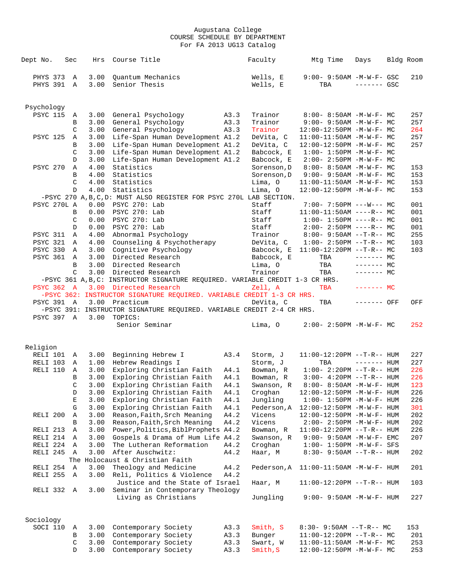| Dept No.          | Sec           | Hrs          | Course Title                                                                         |              | Faculty             | Mtg Time                                                       | Days         | Bldg Room  |
|-------------------|---------------|--------------|--------------------------------------------------------------------------------------|--------------|---------------------|----------------------------------------------------------------|--------------|------------|
|                   |               |              |                                                                                      |              |                     |                                                                |              |            |
| PHYS 373          | A             | 3.00         | Quantum Mechanics                                                                    |              | Wells, E            | 9:00- 9:50AM -M-W-F- GSC                                       |              | 210        |
| PHYS 391 A        |               | 3.00         | Senior Thesis                                                                        |              | Wells, E            | TBA                                                            | $------$ GSC |            |
|                   |               |              |                                                                                      |              |                     |                                                                |              |            |
| Psychology        |               |              |                                                                                      |              |                     |                                                                |              |            |
| <b>PSYC 115</b>   | Α             | 3.00         | General Psychology                                                                   | A3.3         | Trainor             | $8:00 - 8:50AM$ -M-W-F- MC                                     |              | 257        |
|                   | B             | 3.00         | General Psychology                                                                   | A3.3         | Trainor             | $9:00 - 9:50AM - M - W - F - MC$                               |              | 257        |
|                   | C             | 3.00         | General Psychology                                                                   | A3.3         | Trainor             | 12:00-12:50PM -M-W-F- MC                                       |              | 264        |
| <b>PSYC 125</b>   | Α             | 3.00         | Life-Span Human Development A1.2                                                     |              | DeVita, C           | $11:00-11:50AM$ -M-W-F- MC                                     |              | 257        |
|                   | В             | 3.00         | Life-Span Human Development A1.2                                                     |              | DeVita, C           | 12:00-12:50PM -M-W-F- MC                                       |              | 257        |
|                   | $\mathcal{C}$ | 3.00         | Life-Span Human Development A1.2                                                     |              | Babcock, E          | $1:00 - 1:50PM - M - W - F - MC$                               |              |            |
|                   | $\mathbb{D}$  | 3.00         | Life-Span Human Development A1.2                                                     |              | Babcock, E          | $2:00 - 2:50PM -M-W-F - MC$                                    |              |            |
| PSYC 270          | Α             | 4.00         | Statistics                                                                           |              | Sorenson, D         | $8:00 - 8:50AM - M - W - F - MC$                               |              | 153        |
|                   | B             | 4.00         | Statistics                                                                           |              | Sorenson, D         | $9:00 - 9:50AM - M - W - F - MC$                               |              | 153        |
|                   | C             | 4.00         | Statistics                                                                           |              | Lima, O             | $11:00-11:50AM$ -M-W-F- MC                                     |              | 153        |
|                   | $\mathbb{D}$  | 4.00         | Statistics                                                                           |              | Lima, O             | 12:00-12:50PM -M-W-F- MC                                       |              | 153        |
| PSYC 270L A       |               | 0.00         | -PSYC 270 A, B, C, D: MUST ALSO REGISTER FOR PSYC 270L LAB SECTION.<br>PSYC 270: Lab |              | Staff               | $7:00 - 7:50PM$ ---W--- MC                                     |              | 001        |
|                   | B             | 0.00         | PSYC 270: Lab                                                                        |              | Staff               | $11:00-11:50AM$ ----R-- MC                                     |              | 001        |
|                   | C             | 0.00         | PSYC 270: Lab                                                                        |              | Staff               | $1:00-1:50PM$ ----R-- MC                                       |              | 001        |
|                   | D             | 0.00         | PSYC 270: Lab                                                                        |              | Staff               | $2:00-2:50PM$ ----R-- MC                                       |              | 001        |
| <b>PSYC 311</b>   | A             | 4.00         | Abnormal Psychology                                                                  |              | Trainor             | $8:00 - 9:50AM -T-R-- MC$                                      |              | 255        |
| <b>PSYC 321</b>   | A             | 4.00         | Counseling & Psychotherapy                                                           |              | DeVita, C           | $1:00-2:50PM -T-R--MC$                                         |              | 103        |
| PSYC 330          | A             | 3.00         | Cognitive Psychology                                                                 |              |                     | Babcock, E $11:00-12:20PM -T-R-- MC$                           |              | 103        |
| <b>PSYC 361</b>   | A             | 3.00         | Directed Research                                                                    |              | Babcock, E          | TBA                                                            | $------$ MC  |            |
|                   | B             | 3.00         | Directed Research                                                                    |              | Lima, O             | TBA                                                            | $------$ MC  |            |
|                   | $\mathcal{C}$ | 3.00         | Directed Research                                                                    |              | Trainor             | TBA                                                            | $-----MC$    |            |
|                   |               |              | -PSYC 361 A, B, C: INSTRUCTOR SIGNATURE REQUIRED. VARIABLE CREDIT 1-3 CR HRS.        |              |                     |                                                                |              |            |
| <b>PSYC 362 A</b> |               | 3.00         | Directed Research                                                                    |              | Zell, A             | TBA                                                            | $------MC$   |            |
|                   |               |              | -PSYC 362: INSTRUCTOR SIGNATURE REQUIRED. VARIABLE CREDIT 1-3 CR HRS.                |              |                     |                                                                |              |            |
| <b>PSYC 391 A</b> |               | 3.00         | Practicum                                                                            |              | DeVita, C           | TBA                                                            | ------- OFF  | OFF        |
|                   |               |              | -PSYC 391: INSTRUCTOR SIGNATURE REQUIRED. VARIABLE CREDIT 2-4 CR HRS.                |              |                     |                                                                |              |            |
| PSYC 397 A        |               | 3.00         | TOPICS:<br>Senior Seminar                                                            |              | Lima, O             | $2:00 - 2:50PM -M-W-F - MC$                                    |              | 252        |
|                   |               |              |                                                                                      |              |                     |                                                                |              |            |
|                   |               |              |                                                                                      |              |                     |                                                                |              |            |
| Religion          |               |              |                                                                                      |              |                     |                                                                |              |            |
| RELI 101 A        |               | 3.00         | Beginning Hebrew I                                                                   | A3.4         | Storm, J            | 11:00-12:20PM --T-R-- HUM                                      |              | 227        |
| RELI 103          | Α             | 1.00         | Hebrew Readings I                                                                    |              | Storm, J            | TBA                                                            | $------$ HUM | 227        |
| RELI 110          | Α             | 3.00         | Exploring Christian Faith                                                            | A4.1         | Bowman, R           | $1:00-2:20PM -T-R--HUM$                                        |              | 226        |
|                   | B             | 3.00         | Exploring Christian Faith                                                            | A4.1         | Bowman, R           | $3:00 - 4:20PM -T-R-- HUM$                                     |              | 226        |
|                   | C             | 3.00         | Exploring Christian Faith                                                            | A4.1         | Swanson, R          | 8:00- 8:50AM -M-W-F- HUM                                       |              | 123        |
|                   | D<br>Е        | 3.00<br>3.00 | Exploring Christian Faith<br>Exploring Christian Faith                               | A4.1<br>A4.1 | Croghan<br>Jungling | 12:00-12:50PM -M-W-F- HUM<br>$1:00 - 1:50PM - M - W - F - HUM$ |              | 226<br>226 |
|                   | G             | 3.00         | Exploring Christian Faith                                                            | A4.1         | Pederson, A         | 12:00-12:50PM -M-W-F- HUM                                      |              | 301        |
| RELI 200          | Α             | 3.00         | Reason, Faith, Srch Meaning                                                          | A4.2         | Vicens              | $12:00-12:50PM -M-W-F- HUM$                                    |              | 202        |
|                   | B             | 3.00         | Reason, Faith, Srch Meaning                                                          | A4.2         | Vicens              | $2:00 - 2:50PM -M-W-F - HUM$                                   |              | 202        |
| RELI 213          | Α             | 3.00         | Power, Politics, BiblProphets A4.2                                                   |              | Bowman, R           | $11:00-12:20PM$ --T-R-- HUM                                    |              | 226        |
| RELI 214          | Α             | 3.00         | Gospels & Drama of Hum Life A4.2                                                     |              | Swanson, R          | $9:00 - 9:50AM - M - W - F - EMC$                              |              | 207        |
| RELI 224          | Α             | 3.00         | The Lutheran Reformation                                                             | A4.2         | Croghan             | $1:00 - 1:50PM -M-W-F-$ SFS                                    |              |            |
| RELI 245          | Α             | 3.00         | After Auschwitz:                                                                     | A4.2         | Haar, M             | $8:30 - 9:50AM -T-R--HUM$                                      |              | 202        |
|                   |               |              | The Holocaust & Christian Faith                                                      |              |                     |                                                                |              |            |
| RELI 254          | A             | 3.00         | Theology and Medicine                                                                | A4.2         | Pederson, A         | $11:00-11:50AM$ -M-W-F- HUM                                    |              | 201        |
| RELI 255          | Α             | 3.00         | Reli, Politics & Violence                                                            | A4.2         |                     |                                                                |              |            |
|                   |               |              | Justice and the State of Israel                                                      |              | Haar, M             | $11:00-12:20PM$ --T-R-- HUM                                    |              | 103        |
| RELI 332          | Α             | 3.00         | Seminar in Contemporary Theology                                                     |              |                     |                                                                |              |            |
|                   |               |              | Living as Christians                                                                 |              | Jungling            | $9:00 - 9:50AM - M - W - F - HUM$                              |              | 227        |
|                   |               |              |                                                                                      |              |                     |                                                                |              |            |
| Sociology         |               |              |                                                                                      |              |                     |                                                                |              |            |
| SOCI 110          | Α             | 3.00         | Contemporary Society                                                                 | A3.3         | Smith, S            | $8:30 - 9:50AM -T-R-- MC$                                      |              | 153        |
|                   | B             | 3.00         | Contemporary Society                                                                 | A3.3         | Bunger              | $11:00-12:20PM$ --T-R-- MC                                     |              | 201        |
|                   | $\mathsf C$   | 3.00         | Contemporary Society                                                                 | A3.3         | Swart, W            | $11:00-11:50AM$ -M-W-F- MC                                     |              | 253        |
|                   | D             | 3.00         | Contemporary Society                                                                 | A3.3         | Smith, S            | 12:00-12:50PM -M-W-F- MC                                       |              | 253        |
|                   |               |              |                                                                                      |              |                     |                                                                |              |            |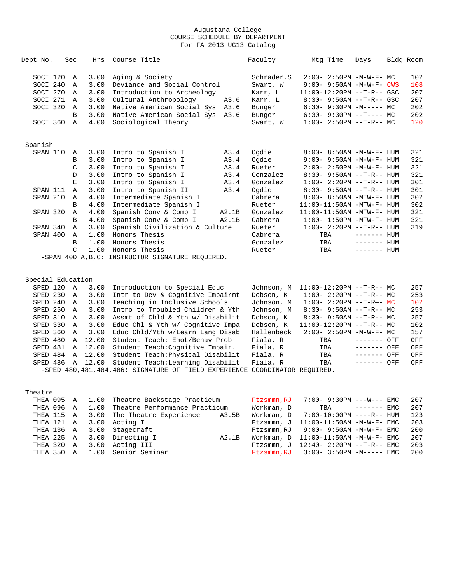| Dept No.          | Sec           | Hrs   | Course Title                                      |       | Faculty     | Mtg Time                          | Days         | Bldg Room |
|-------------------|---------------|-------|---------------------------------------------------|-------|-------------|-----------------------------------|--------------|-----------|
| SOCI 120          | $\mathbb{A}$  | 3.00  | Aging & Society                                   |       | Schrader, S | $2:00 - 2:50PM -M-W-F-MC$         |              | 102       |
| SOCI 240          | $\mathbf{A}$  | 3.00  | Deviance and Social Control                       |       | Swart, W    | 9:00- 9:50AM -M-W-F- CWS          |              | 108       |
| SOCI 270          | A             | 3.00  | Introduction to Archeology                        |       | Karr, L     | 11:00-12:20PM --T-R-- GSC         |              | 207       |
| SOCI 271          | A             | 3.00  | Cultural Anthropology                             | A3.6  | Karr, L     | $8:30-9:50AM --T-R--GSC$          |              | 207       |
| SOCI 320          | Α             | 3.00  | Native American Social Sys A3.6                   |       | Bunger      | $6:30-9:30PM -M--- MC$            |              | 202       |
|                   | B             | 3.00  | Native American Social Sys A3.6                   |       | Bunger      | $6:30-9:30PM -T--- MC$            |              | 202       |
| SOCI 360          | $\mathbb{A}$  | 4.00  | Sociological Theory                               |       | Swart, W    | $1:00-2:50PM -T-R--MC$            |              | 120       |
| Spanish           |               |       |                                                   |       |             |                                   |              |           |
| SPAN 110          | Α             | 3.00  | Intro to Spanish I                                | A3.4  | Oqdie       | 8:00- 8:50AM -M-W-F- HUM          |              | 321       |
|                   | B             | 3.00  | Intro to Spanish I                                | A3.4  | Oqdie       | $9:00 - 9:50AM - M - W - F - HUM$ |              | 321       |
|                   | $\mathcal{C}$ | 3.00  | Intro to Spanish I                                | A3.4  | Rueter      | $2:00 - 2:50PM -M-W-F- HUM$       |              | 321       |
|                   | D             | 3.00  | Intro to Spanish I                                | A3.4  | Gonzalez    | $8:30 - 9:50AM -T-R--HUM$         |              | 321       |
|                   | Е             | 3.00  | Intro to Spanish I                                | A3.4  | Gonzalez    | $1:00 - 2:20PM -T-R--HUM$         |              | 301       |
| SPAN 111          | Α             | 3.00  | Intro to Spanish II                               | A3.4  | Ogdie       | $8:30 - 9:50AM -T-R - HUM$        |              | 301       |
| SPAN 210          | $\mathbb{A}$  | 4.00  | Intermediate Spanish I                            |       | Cabrera     | 8:00- 8:50AM -MTW-F- HUM          |              | 302       |
|                   | B             | 4.00  | Intermediate Spanish I                            |       | Rueter      | 11:00-11:50AM -MTW-F- HUM         |              | 302       |
| SPAN 320          | Α             | 4.00  | Spanish Conv & Comp I                             | A2.1B | Gonzalez    | 11:00-11:50AM -MTW-F- HUM         |              | 321       |
|                   | B             | 4.00  | Spanish Conv & Comp I                             | A2.1B | Cabrera     | $1:00-1:50PM -MTW-F-HUM$          |              | 321       |
| SPAN 340          | A             | 3.00  | Spanish Civilization & Culture                    |       | Rueter      | $1:00 - 2:20PM -T-R--HUM$         |              | 319       |
| SPAN 400          | Α             | 1.00  | Honors Thesis                                     |       | Cabrera     | TBA                               | $------$ HUM |           |
|                   | B             | 1.00  | Honors Thesis                                     |       | Gonzalez    | TBA                               | $------$ HUM |           |
|                   | $\mathcal{C}$ | 1.00  | Honors Thesis                                     |       | Rueter      | TBA                               | $------$ HUM |           |
|                   |               |       | -SPAN 400 A, B, C: INSTRUCTOR SIGNATURE REQUIRED. |       |             |                                   |              |           |
| Special Education |               |       |                                                   |       |             |                                   |              |           |
| SPED 120          | A             | 3.00  | Introduction to Special Educ                      |       | Johnson, M  | $11:00-12:20PM$ --T-R-- MC        |              | 257       |
| SPED 230          | A             | 3.00  | Intr to Dev & Cognitive Impairmt                  |       | Dobson, K   | $1:00-2:20PM -T-R--MC$            |              | 253       |
| SPED 240          | A             | 3.00  | Teaching in Inclusive Schools                     |       | Johnson, M  | $1:00 - 2:20PM -T-R-- MC$         |              | 102       |
| SPED 250          | A             | 3.00  | Intro to Troubled Children & Yth                  |       | Johnson, M  | $8:30 - 9:50AM -T-R - M$          |              | 253       |
| SPED 310          | $\mathbb{A}$  | 3.00  | Assmt of Chld & Yth w/ Disabilit                  |       | Dobson, K   | $8:30 - 9:50AM -T-R-- MC$         |              | 257       |
| SPED 330          | Α             | 3.00  | Educ Chl & Yth w/ Cognitive Impa                  |       | Dobson, K   | $11:00-12:20PM$ --T-R-- MC        |              | 102       |
| SPED 360          | $\mathbb{A}$  | 3.00  | Educ Chld/Yth w/Learn Lang Disab                  |       | Hallenbeck  | $2:00 - 2:50PM -M-W-F-MC$         |              | 157       |
| SPED 480          | Α             | 12.00 | Student Teach: Emot/Behav Prob                    |       | Fiala, R    | TBA                               | ------- OFF  | OFF       |
| SPED 481          | $\mathbb A$   | 12.00 | Student Teach: Cognitive Impair.                  |       | Fiala, R    | TBA                               | ------- OFF  | OFF       |
| SPED 484          | $\mathbb{A}$  | 12.00 | Student Teach: Physical Disabilit                 |       | Fiala, R    | TBA                               | ------- OFF  | OFF       |

 SPED 486 A 12.00 Student Teach:Learning Disabilit Fiala, R TBA ------- OFF OFF -SPED 480,481,484,486: SIGNATURE OF FIELD EXPERIENCE COORDINATOR REQUIRED.

| Theatre |  |                                               |       |            |                                              |  |     |
|---------|--|-----------------------------------------------|-------|------------|----------------------------------------------|--|-----|
|         |  | THEA 095 A 1.00 Theatre Backstage Practicum   |       |            | Ftzsmmn, RJ $7:00 - 9:30PM$ ---W--- EMC      |  | 207 |
|         |  | THEA 096 A 1.00 Theatre Performance Practicum |       | Workman, D | $TBA$ $--- - -  EMC$                         |  | 207 |
|         |  | THEA 115 A 3.00 The Theatre Experience A3.5B  |       |            | Workman. $D = 7:00-10:00PM$ ----R-- HUM      |  | 123 |
|         |  | THEA 121 A 3.00 Acting I                      |       |            | $F$ tzsmmn, J $11:00-11:50$ AM $-M-W-F-$ EMC |  | 203 |
|         |  | THEA 136 A 3.00 Stagecraft                    |       |            | $F$ tzsmmn.RJ 9:00-9:50AM -M-W-F-EMC         |  | 200 |
|         |  | THEA 225 A 3.00 Directing I                   | A2.1B |            | Workman. $D = 11:00-11:50AM -M-W-F-EMC$      |  | 207 |
|         |  | THEA 320 A 3.00 Acting III                    |       |            | Ftzsmmn, J $12:40 - 2:20PM -T-R--EMC$        |  | 203 |
|         |  | THEA 350 A 1.00 Senior Seminar                |       |            | $F$ tzsmmn.RJ 3:00-3:50PM -M----- EMC        |  | 200 |